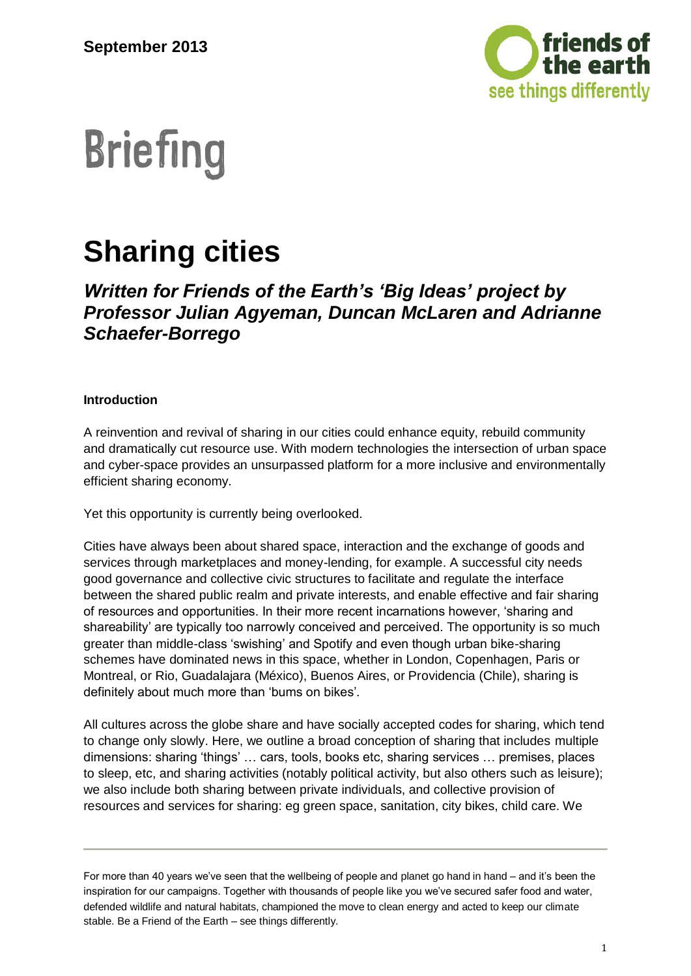

# **Briefing**

## **Sharing cities**

### *Written for Friends of the Earth's 'Big Ideas' project by Professor Julian Agyeman, Duncan McLaren and Adrianne Schaefer-Borrego*

#### **Introduction**

A reinvention and revival of sharing in our cities could enhance equity, rebuild community and dramatically cut resource use. With modern technologies the intersection of urban space and cyber-space provides an unsurpassed platform for a more inclusive and environmentally efficient sharing economy.

Yet this opportunity is currently being overlooked.

Cities have always been about shared space, interaction and the exchange of goods and services through marketplaces and money-lending, for example. A successful city needs good governance and collective civic structures to facilitate and regulate the interface between the shared public realm and private interests, and enable effective and fair sharing of resources and opportunities. In their more recent incarnations however, 'sharing and shareability' are typically too narrowly conceived and perceived. The opportunity is so much greater than middle-class 'swishing' and Spotify and even though urban bike-sharing schemes have dominated news in this space, whether in London, Copenhagen, Paris or Montreal, or Rio, Guadalajara (México), Buenos Aires, or Providencia (Chile), sharing is definitely about much more than 'bums on bikes'.

All cultures across the globe share and have socially accepted codes for sharing, which tend to change only slowly. Here, we outline a broad conception of sharing that includes multiple dimensions: sharing 'things' … cars, tools, books etc, sharing services … premises, places to sleep, etc, and sharing activities (notably political activity, but also others such as leisure); we also include both sharing between private individuals, and collective provision of resources and services for sharing: eg green space, sanitation, city bikes, child care. We

For more than 40 years we've seen that the wellbeing of people and planet go hand in hand – and it's been the inspiration for our campaigns. Together with thousands of people like you we've secured safer food and water, defended wildlife and natural habitats, championed the move to clean energy and acted to keep our climate stable. Be a Friend of the Earth – see things differently.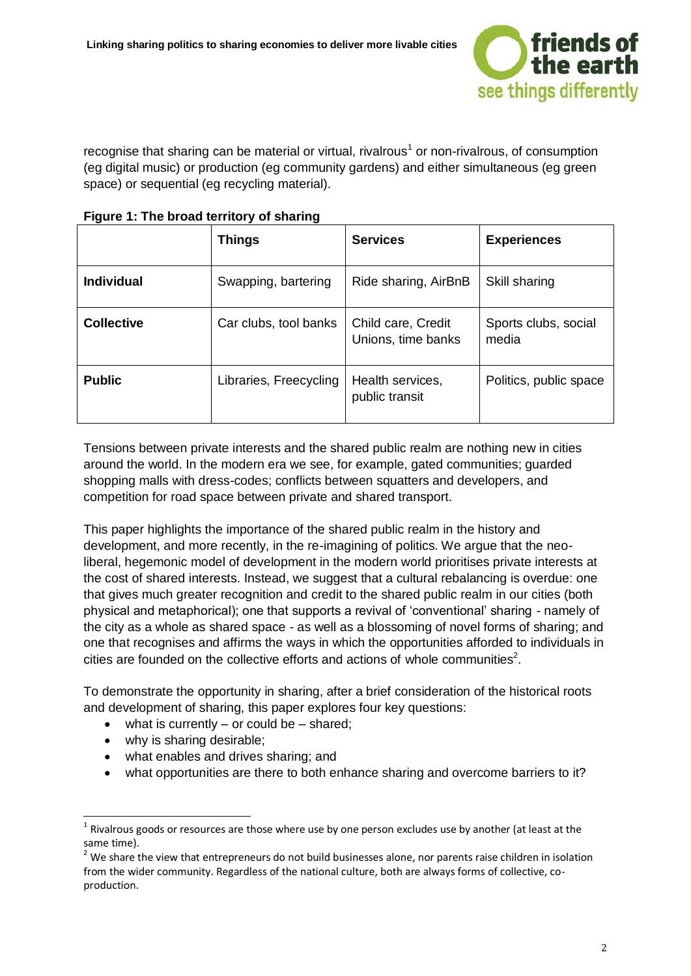

recognise that sharing can be material or virtual, rivalrous<sup>1</sup> or non-rivalrous, of consumption (eg digital music) or production (eg community gardens) and either simultaneous (eg green space) or sequential (eg recycling material).

|                   | <b>Things</b>          | <b>Services</b>                          | <b>Experiences</b>            |
|-------------------|------------------------|------------------------------------------|-------------------------------|
| <b>Individual</b> | Swapping, bartering    | Ride sharing, AirBnB                     | Skill sharing                 |
| <b>Collective</b> | Car clubs, tool banks  | Child care, Credit<br>Unions, time banks | Sports clubs, social<br>media |
| <b>Public</b>     | Libraries, Freecycling | Health services,<br>public transit       | Politics, public space        |

**Figure 1: The broad territory of sharing**

Tensions between private interests and the shared public realm are nothing new in cities around the world. In the modern era we see, for example, gated communities; guarded shopping malls with dress-codes; conflicts between squatters and developers, and competition for road space between private and shared transport.

This paper highlights the importance of the shared public realm in the history and development, and more recently, in the re-imagining of politics. We argue that the neoliberal, hegemonic model of development in the modern world prioritises private interests at the cost of shared interests. Instead, we suggest that a cultural rebalancing is overdue: one that gives much greater recognition and credit to the shared public realm in our cities (both physical and metaphorical); one that supports a revival of 'conventional' sharing - namely of the city as a whole as shared space - as well as a blossoming of novel forms of sharing; and one that recognises and affirms the ways in which the opportunities afforded to individuals in cities are founded on the collective efforts and actions of whole communities<sup>2</sup>.

To demonstrate the opportunity in sharing, after a brief consideration of the historical roots and development of sharing, this paper explores four key questions:

- $\bullet$  what is currently or could be shared;
- why is sharing desirable;

- what enables and drives sharing; and
- what opportunities are there to both enhance sharing and overcome barriers to it?

 $1$  Rivalrous goods or resources are those where use by one person excludes use by another (at least at the same time).

 $<sup>2</sup>$  We share the view that entrepreneurs do not build businesses alone, nor parents raise children in isolation</sup> from the wider community. Regardless of the national culture, both are always forms of collective, coproduction.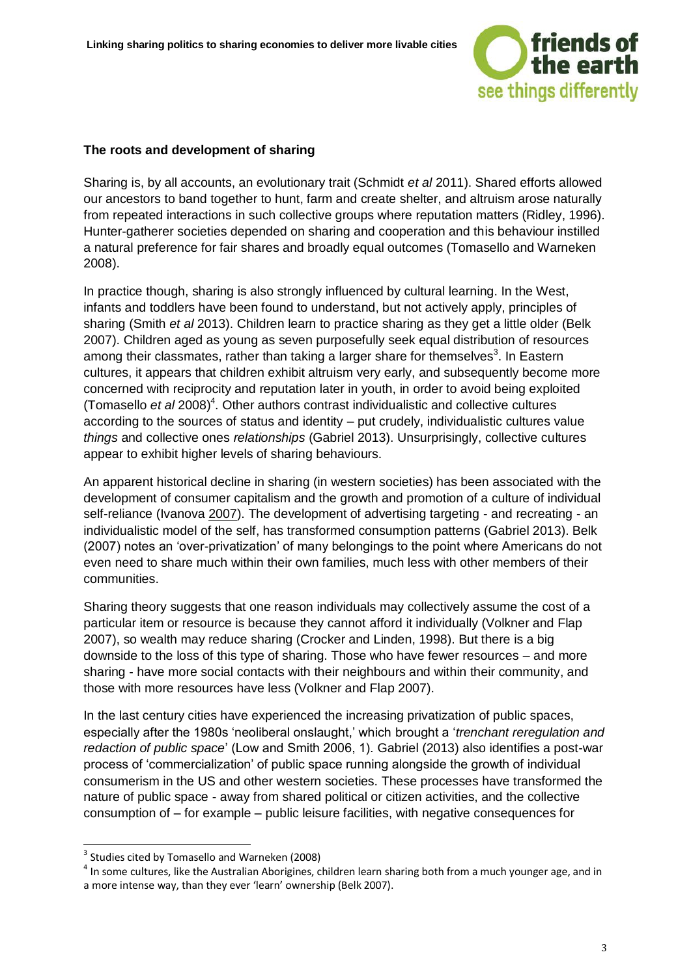

#### **The roots and development of sharing**

Sharing is, by all accounts, an evolutionary trait (Schmidt *et al* 2011). Shared efforts allowed our ancestors to band together to hunt, farm and create shelter, and altruism arose naturally from repeated interactions in such collective groups where reputation matters (Ridley, 1996). Hunter-gatherer societies depended on sharing and cooperation and this behaviour instilled a natural preference for fair shares and broadly equal outcomes (Tomasello and Warneken 2008).

In practice though, sharing is also strongly influenced by cultural learning. In the West, infants and toddlers have been found to understand, but not actively apply, principles of sharing (Smith *et al* 2013). Children learn to practice sharing as they get a little older (Belk 2007). Children aged as young as seven purposefully seek equal distribution of resources among their classmates, rather than taking a larger share for themselves<sup>3</sup>. In Eastern cultures, it appears that children exhibit altruism very early, and subsequently become more concerned with reciprocity and reputation later in youth, in order to avoid being exploited (Tomasello et al 2008)<sup>4</sup>. Other authors contrast individualistic and collective cultures according to the sources of status and identity – put crudely, individualistic cultures value *things* and collective ones *relationships* (Gabriel 2013). Unsurprisingly, collective cultures appear to exhibit higher levels of sharing behaviours.

An apparent historical decline in sharing (in western societies) has been associated with the development of consumer capitalism and the growth and promotion of a culture of individual self-reliance (Ivanova 2007). The development of advertising targeting - and recreating - an individualistic model of the self, has transformed consumption patterns (Gabriel 2013). Belk (2007) notes an 'over-privatization' of many belongings to the point where Americans do not even need to share much within their own families, much less with other members of their communities.

Sharing theory suggests that one reason individuals may collectively assume the cost of a particular item or resource is because they cannot afford it individually (Volkner and Flap 2007), so wealth may reduce sharing (Crocker and Linden, 1998). But there is a big downside to the loss of this type of sharing. Those who have fewer resources – and more sharing - have more social contacts with their neighbours and within their community, and those with more resources have less (Volkner and Flap 2007).

In the last century cities have experienced the increasing privatization of public spaces, especially after the 1980s 'neoliberal onslaught,' which brought a '*trenchant reregulation and redaction of public space*' (Low and Smith 2006, 1). Gabriel (2013) also identifies a post-war process of 'commercialization' of public space running alongside the growth of individual consumerism in the US and other western societies. These processes have transformed the nature of public space - away from shared political or citizen activities, and the collective consumption of – for example – public leisure facilities, with negative consequences for

 $<sup>4</sup>$  In some cultures, like the Australian Aborigines, children learn sharing both from a much younger age, and in</sup> a more intense way, than they ever 'learn' ownership (Belk 2007).

 3 Studies cited by Tomasello and Warneken (2008)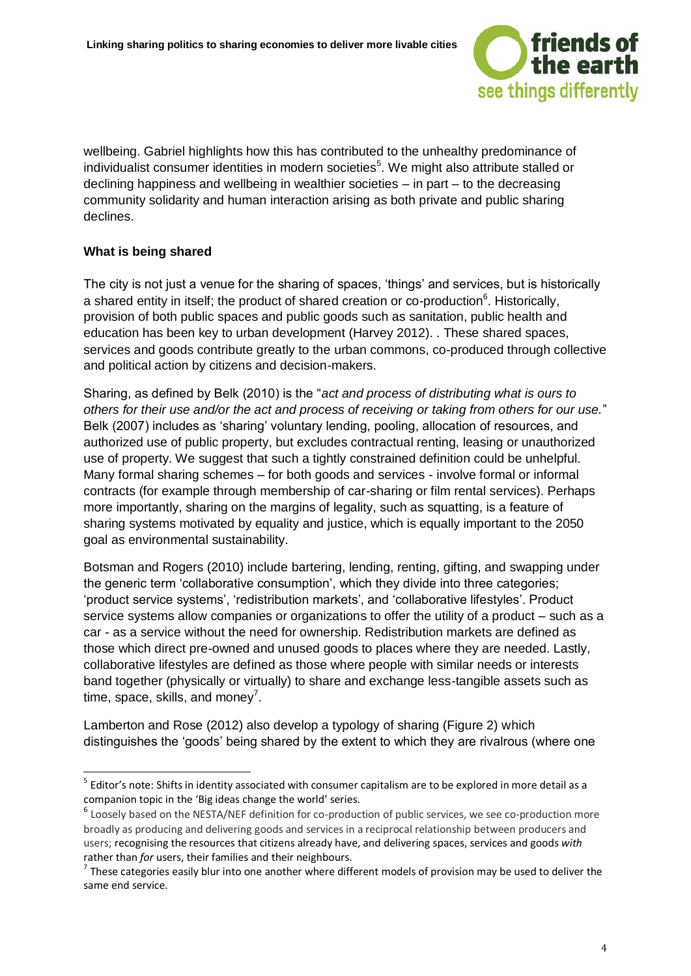

wellbeing. Gabriel highlights how this has contributed to the unhealthy predominance of individualist consumer identities in modern societies<sup>5</sup>. We might also attribute stalled or declining happiness and wellbeing in wealthier societies – in part – to the decreasing community solidarity and human interaction arising as both private and public sharing declines.

#### **What is being shared**

The city is not just a venue for the sharing of spaces, 'things' and services, but is historically a shared entity in itself; the product of shared creation or co-production<sup>6</sup>. Historically, provision of both public spaces and public goods such as sanitation, public health and education has been key to urban development (Harvey 2012). . These shared spaces, services and goods contribute greatly to the urban commons, co-produced through collective and political action by citizens and decision-makers.

Sharing, as defined by Belk (2010) is the "*act and process of distributing what is ours to others for their use and/or the act and process of receiving or taking from others for our use.*" Belk (2007) includes as 'sharing' voluntary lending, pooling, allocation of resources, and authorized use of public property, but excludes contractual renting, leasing or unauthorized use of property. We suggest that such a tightly constrained definition could be unhelpful. Many formal sharing schemes – for both goods and services - involve formal or informal contracts (for example through membership of car-sharing or film rental services). Perhaps more importantly, sharing on the margins of legality, such as squatting, is a feature of sharing systems motivated by equality and justice, which is equally important to the 2050 goal as environmental sustainability.

Botsman and Rogers (2010) include bartering, lending, renting, gifting, and swapping under the generic term 'collaborative consumption', which they divide into three categories; 'product service systems', 'redistribution markets', and 'collaborative lifestyles'. Product service systems allow companies or organizations to offer the utility of a product – such as a car - as a service without the need for ownership. Redistribution markets are defined as those which direct pre-owned and unused goods to places where they are needed. Lastly, collaborative lifestyles are defined as those where people with similar needs or interests band together (physically or virtually) to share and exchange less-tangible assets such as time, space, skills, and money<sup>7</sup>.

Lamberton and Rose (2012) also develop a typology of sharing (Figure 2) which distinguishes the 'goods' being shared by the extent to which they are rivalrous (where one

 5 Editor's note: Shifts in identity associated with consumer capitalism are to be explored in more detail as a companion topic in the 'Big ideas change the world' series.

<sup>&</sup>lt;sup>6</sup> Loosely based on the NESTA/NEF definition for co-production of public services, we see co-production more broadly as producing and delivering goods and services in a reciprocal relationship between producers and users; recognising the resources that citizens already have, and delivering spaces, services and goods *with* rather than *for* users, their families and their neighbours.

 $<sup>7</sup>$  These categories easily blur into one another where different models of provision may be used to deliver the</sup> same end service.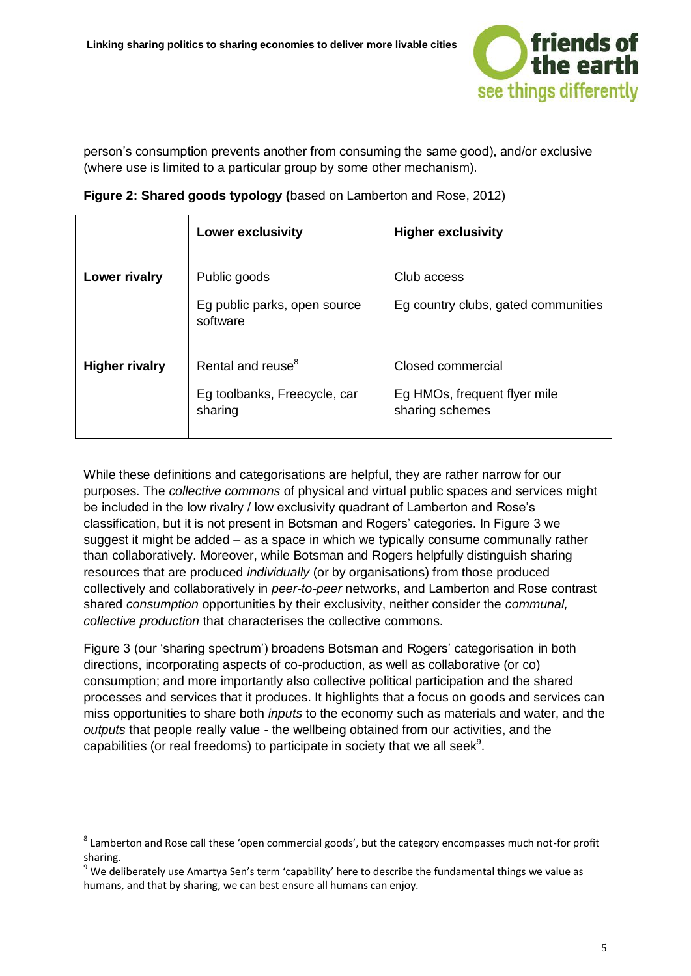

person's consumption prevents another from consuming the same good), and/or exclusive (where use is limited to a particular group by some other mechanism).

|                       | <b>Lower exclusivity</b>                                                 | <b>Higher exclusivity</b>                                            |
|-----------------------|--------------------------------------------------------------------------|----------------------------------------------------------------------|
| Lower rivalry         | Public goods<br>Eg public parks, open source<br>software                 | Club access<br>Eg country clubs, gated communities                   |
| <b>Higher rivalry</b> | Rental and reuse <sup>8</sup><br>Eg toolbanks, Freecycle, car<br>sharing | Closed commercial<br>Eg HMOs, frequent flyer mile<br>sharing schemes |

**Figure 2: Shared goods typology (**based on Lamberton and Rose, 2012)

While these definitions and categorisations are helpful, they are rather narrow for our purposes. The *collective commons* of physical and virtual public spaces and services might be included in the low rivalry / low exclusivity quadrant of Lamberton and Rose's classification, but it is not present in Botsman and Rogers' categories. In Figure 3 we suggest it might be added – as a space in which we typically consume communally rather than collaboratively. Moreover, while Botsman and Rogers helpfully distinguish sharing resources that are produced *individually* (or by organisations) from those produced collectively and collaboratively in *peer-to-peer* networks, and Lamberton and Rose contrast shared *consumption* opportunities by their exclusivity, neither consider the *communal, collective production* that characterises the collective commons.

Figure 3 (our 'sharing spectrum') broadens Botsman and Rogers' categorisation in both directions, incorporating aspects of co-production, as well as collaborative (or co) consumption; and more importantly also collective political participation and the shared processes and services that it produces. It highlights that a focus on goods and services can miss opportunities to share both *inputs* to the economy such as materials and water, and the *outputs* that people really value - the wellbeing obtained from our activities, and the capabilities (or real freedoms) to participate in society that we all seek $9$ .

 $^8$  Lamberton and Rose call these 'open commercial goods', but the category encompasses much not-for profit sharing.

<sup>&</sup>lt;sup>9</sup> We deliberately use Amartya Sen's term 'capability' here to describe the fundamental things we value as humans, and that by sharing, we can best ensure all humans can enjoy.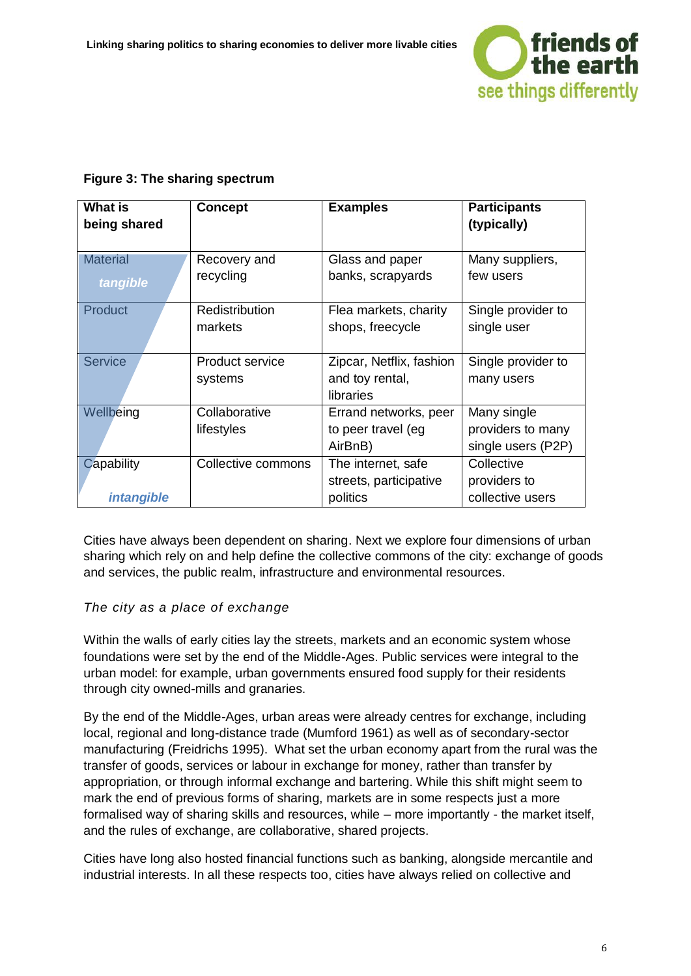

#### **Figure 3: The sharing spectrum**

| <b>What is</b><br>being shared  | <b>Concept</b>              | <b>Examples</b>                                          | <b>Participants</b><br>(typically)                     |
|---------------------------------|-----------------------------|----------------------------------------------------------|--------------------------------------------------------|
| <b>Material</b><br>tangible     | Recovery and<br>recycling   | Glass and paper<br>banks, scrapyards                     | Many suppliers,<br>few users                           |
| <b>Product</b>                  | Redistribution<br>markets   | Flea markets, charity<br>shops, freecycle                | Single provider to<br>single user                      |
| <b>Service</b>                  | Product service<br>systems  | Zipcar, Netflix, fashion<br>and toy rental,<br>libraries | Single provider to<br>many users                       |
| Wellbeing                       | Collaborative<br>lifestyles | Errand networks, peer<br>to peer travel (eg<br>AirBnB)   | Many single<br>providers to many<br>single users (P2P) |
| Capability<br><i>intangible</i> | Collective commons          | The internet, safe<br>streets, participative<br>politics | Collective<br>providers to<br>collective users         |

Cities have always been dependent on sharing. Next we explore four dimensions of urban sharing which rely on and help define the collective commons of the city: exchange of goods and services, the public realm, infrastructure and environmental resources.

#### *The city as a place of exchange*

Within the walls of early cities lay the streets, markets and an economic system whose foundations were set by the end of the Middle-Ages. Public services were integral to the urban model: for example, urban governments ensured food supply for their residents through city owned-mills and granaries.

By the end of the Middle-Ages, urban areas were already centres for exchange, including local, regional and long-distance trade (Mumford 1961) as well as of secondary-sector manufacturing (Freidrichs 1995). What set the urban economy apart from the rural was the transfer of goods, services or labour in exchange for money, rather than transfer by appropriation, or through informal exchange and bartering. While this shift might seem to mark the end of previous forms of sharing, markets are in some respects just a more formalised way of sharing skills and resources, while – more importantly - the market itself, and the rules of exchange, are collaborative, shared projects.

Cities have long also hosted financial functions such as banking, alongside mercantile and industrial interests. In all these respects too, cities have always relied on collective and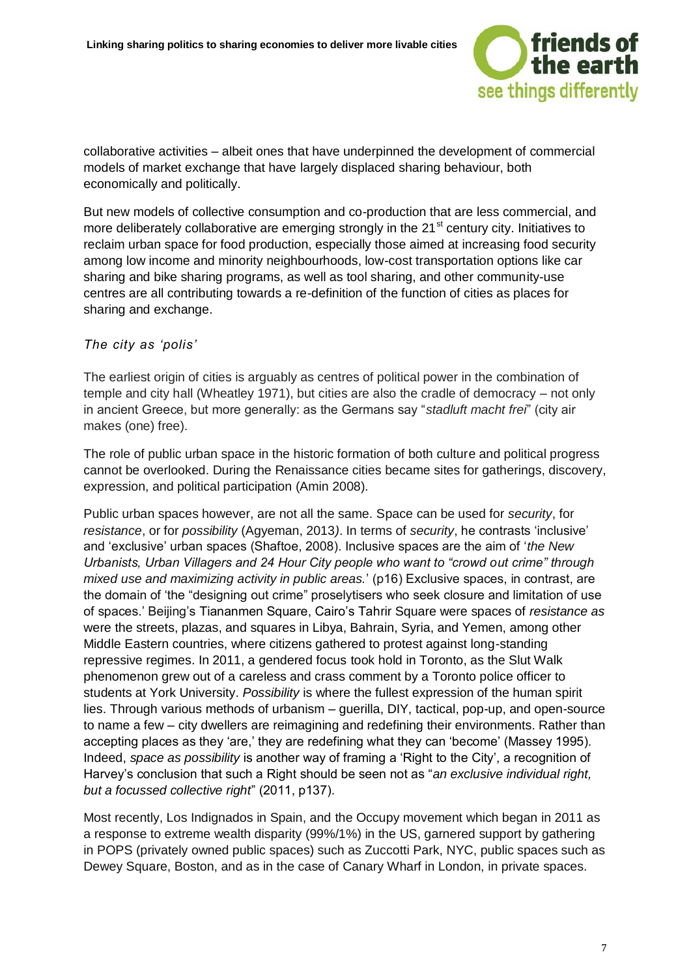

collaborative activities – albeit ones that have underpinned the development of commercial models of market exchange that have largely displaced sharing behaviour, both economically and politically.

But new models of collective consumption and co-production that are less commercial, and more deliberately collaborative are emerging strongly in the 21<sup>st</sup> century city. Initiatives to reclaim urban space for food production, especially those aimed at increasing food security among low income and minority neighbourhoods, low-cost transportation options like car sharing and bike sharing programs, as well as tool sharing, and other community-use centres are all contributing towards a re-definition of the function of cities as places for sharing and exchange.

#### *The city as 'polis'*

The earliest origin of cities is arguably as centres of political power in the combination of temple and city hall (Wheatley 1971), but cities are also the cradle of democracy – not only in ancient Greece, but more generally: as the Germans say "*stadluft macht frei*" (city air makes (one) free).

The role of public urban space in the historic formation of both culture and political progress cannot be overlooked. During the Renaissance cities became sites for gatherings, discovery, expression, and political participation (Amin 2008).

Public urban spaces however, are not all the same. Space can be used for *security*, for *resistance*, or for *possibility* (Agyeman, 2013*)*. In terms of *security*, he contrasts 'inclusive' and 'exclusive' urban spaces (Shaftoe, 2008). Inclusive spaces are the aim of '*the New Urbanists, Urban Villagers and 24 Hour City people who want to "crowd out crime" through mixed use and maximizing activity in public areas.*' (p16) Exclusive spaces, in contrast, are the domain of 'the "designing out crime" proselytisers who seek closure and limitation of use of spaces.' Beijing's Tiananmen Square, Cairo's Tahrir Square were spaces of *resistance as*  were the streets, plazas, and squares in Libya, Bahrain, Syria, and Yemen, among other Middle Eastern countries, where citizens gathered to protest against long-standing repressive regimes. In 2011, a gendered focus took hold in Toronto, as the Slut Walk phenomenon grew out of a careless and crass comment by a Toronto police officer to students at York University. *Possibility* is where the fullest expression of the human spirit lies. Through various methods of urbanism – guerilla, DIY, tactical, pop-up, and open-source to name a few – city dwellers are reimagining and redefining their environments. Rather than accepting places as they 'are,' they are redefining what they can 'become' (Massey 1995). Indeed, *space as possibility* is another way of framing a 'Right to the City', a recognition of Harvey's conclusion that such a Right should be seen not as "*an exclusive individual right, but a focussed collective right*" (2011, p137).

Most recently, Los Indignados in Spain, and the Occupy movement which began in 2011 as a response to extreme wealth disparity (99%/1%) in the US, garnered support by gathering in POPS (privately owned public spaces) such as Zuccotti Park, NYC, public spaces such as Dewey Square, Boston, and as in the case of Canary Wharf in London, in private spaces.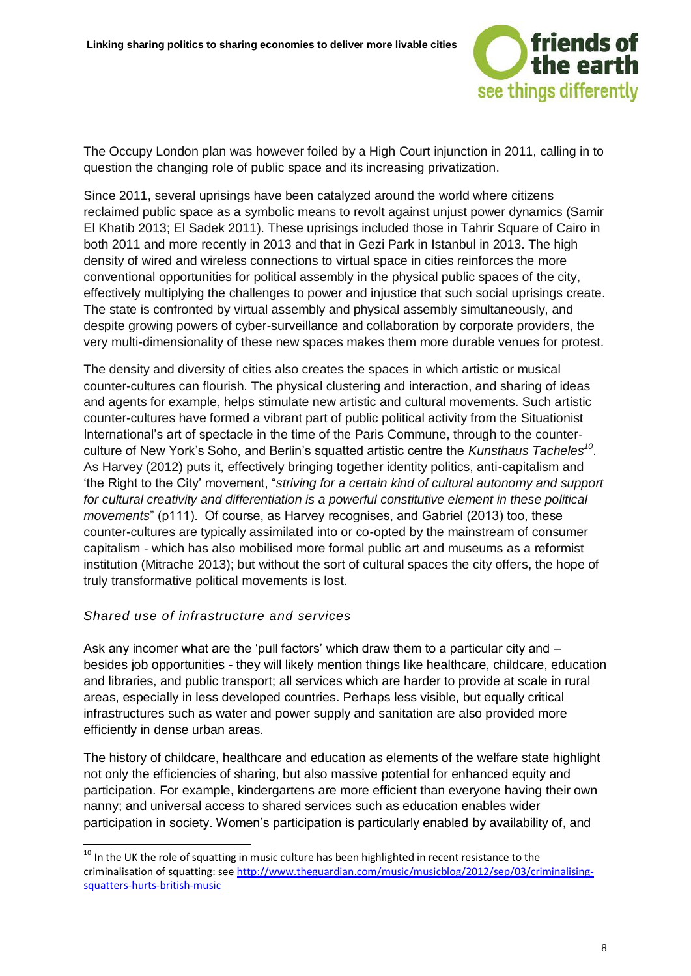

The Occupy London plan was however foiled by a High Court injunction in 2011, calling in to question the changing role of public space and its increasing privatization.

Since 2011, several uprisings have been catalyzed around the world where citizens reclaimed public space as a symbolic means to revolt against unjust power dynamics (Samir El Khatib 2013; El Sadek 2011). These uprisings included those in Tahrir Square of Cairo in both 2011 and more recently in 2013 and that in Gezi Park in Istanbul in 2013. The high density of wired and wireless connections to virtual space in cities reinforces the more conventional opportunities for political assembly in the physical public spaces of the city, effectively multiplying the challenges to power and injustice that such social uprisings create. The state is confronted by virtual assembly and physical assembly simultaneously, and despite growing powers of cyber-surveillance and collaboration by corporate providers, the very multi-dimensionality of these new spaces makes them more durable venues for protest.

The density and diversity of cities also creates the spaces in which artistic or musical counter-cultures can flourish. The physical clustering and interaction, and sharing of ideas and agents for example, helps stimulate new artistic and cultural movements. Such artistic counter-cultures have formed a vibrant part of public political activity from the Situationist International's art of spectacle in the time of the Paris Commune, through to the counterculture of New York's Soho, and Berlin's squatted artistic centre the *Kunsthaus Tacheles<sup>10</sup>* . As Harvey (2012) puts it, effectively bringing together identity politics, anti-capitalism and 'the Right to the City' movement, "*striving for a certain kind of cultural autonomy and support for cultural creativity and differentiation is a powerful constitutive element in these political movements*" (p111). Of course, as Harvey recognises, and Gabriel (2013) too, these counter-cultures are typically assimilated into or co-opted by the mainstream of consumer capitalism - which has also mobilised more formal public art and museums as a reformist institution (Mitrache 2013); but without the sort of cultural spaces the city offers, the hope of truly transformative political movements is lost.

#### *Shared use of infrastructure and services*

-

Ask any incomer what are the 'pull factors' which draw them to a particular city and  $$ besides job opportunities - they will likely mention things like healthcare, childcare, education and libraries, and public transport; all services which are harder to provide at scale in rural areas, especially in less developed countries. Perhaps less visible, but equally critical infrastructures such as water and power supply and sanitation are also provided more efficiently in dense urban areas.

The history of childcare, healthcare and education as elements of the welfare state highlight not only the efficiencies of sharing, but also massive potential for enhanced equity and participation. For example, kindergartens are more efficient than everyone having their own nanny; and universal access to shared services such as education enables wider participation in society. Women's participation is particularly enabled by availability of, and

<sup>&</sup>lt;sup>10</sup> In the UK the role of squatting in music culture has been highlighted in recent resistance to the criminalisation of squatting: see [http://www.theguardian.com/music/musicblog/2012/sep/03/criminalising](http://www.theguardian.com/music/musicblog/2012/sep/03/criminalising-squatters-hurts-british-music)[squatters-hurts-british-music](http://www.theguardian.com/music/musicblog/2012/sep/03/criminalising-squatters-hurts-british-music)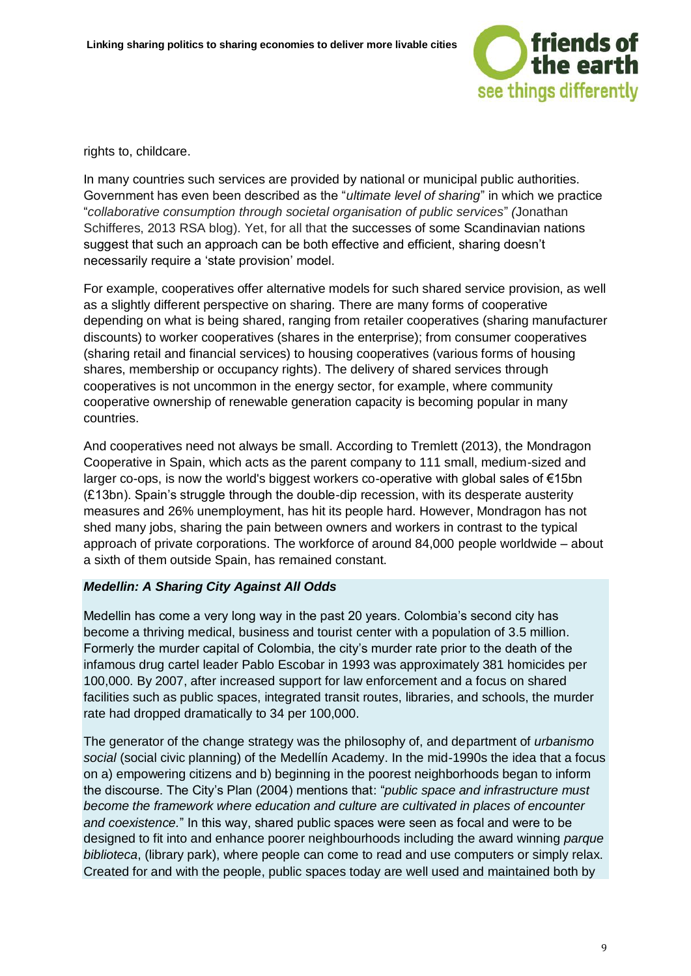

rights to, childcare.

In many countries such services are provided by national or municipal public authorities. Government has even been described as the "*ultimate level of sharing*" in which we practice "*collaborative consumption through societal organisation of public services*" *(*Jonathan Schifferes, 2013 RSA blog). Yet, for all that the successes of some Scandinavian nations suggest that such an approach can be both effective and efficient, sharing doesn't necessarily require a 'state provision' model.

For example, cooperatives offer alternative models for such shared service provision, as well as a slightly different perspective on sharing. There are many forms of cooperative depending on what is being shared, ranging from retailer cooperatives (sharing manufacturer discounts) to worker cooperatives (shares in the enterprise); from consumer cooperatives (sharing retail and financial services) to housing cooperatives (various forms of housing shares, membership or occupancy rights). The delivery of shared services through cooperatives is not uncommon in the energy sector, for example, where community cooperative ownership of renewable generation capacity is becoming popular in many countries.

And cooperatives need not always be small. According to Tremlett (2013), the Mondragon Cooperative in Spain, which acts as the parent company to 111 small, medium-sized and larger co-ops, is now the world's biggest workers co-operative with global sales of €15bn (£13bn). Spain's struggle through the double-dip recession, with its desperate austerity measures and 26% unemployment, has hit its people hard. However, Mondragon has not shed many jobs, sharing the pain between owners and workers in contrast to the typical approach of private corporations. The workforce of around 84,000 people worldwide – about a sixth of them outside Spain, has remained constant.

#### *Medellin: A Sharing City Against All Odds*

Medellin has come a very long way in the past 20 years. Colombia's second city has become a thriving medical, business and tourist center with a population of 3.5 million. Formerly the murder capital of Colombia, the city's murder rate prior to the death of the infamous drug cartel leader Pablo Escobar in 1993 was approximately 381 homicides per 100,000. By 2007, after increased support for law enforcement and a focus on shared facilities such as public spaces, integrated transit routes, libraries, and schools, the murder rate had dropped dramatically to 34 per 100,000.

The generator of the change strategy was the philosophy of, and department of *urbanismo social* (social civic planning) of the Medellín Academy. In the mid-1990s the idea that a focus on a) empowering citizens and b) beginning in the poorest neighborhoods began to inform the discourse. The City's Plan (2004) mentions that: "*public space and infrastructure must become the framework where education and culture are cultivated in places of encounter and coexistence.*" In this way, shared public spaces were seen as focal and were to be designed to fit into and enhance poorer neighbourhoods including the award winning *parque biblioteca*, (library park), where people can come to read and use computers or simply relax. Created for and with the people, public spaces today are well used and maintained both by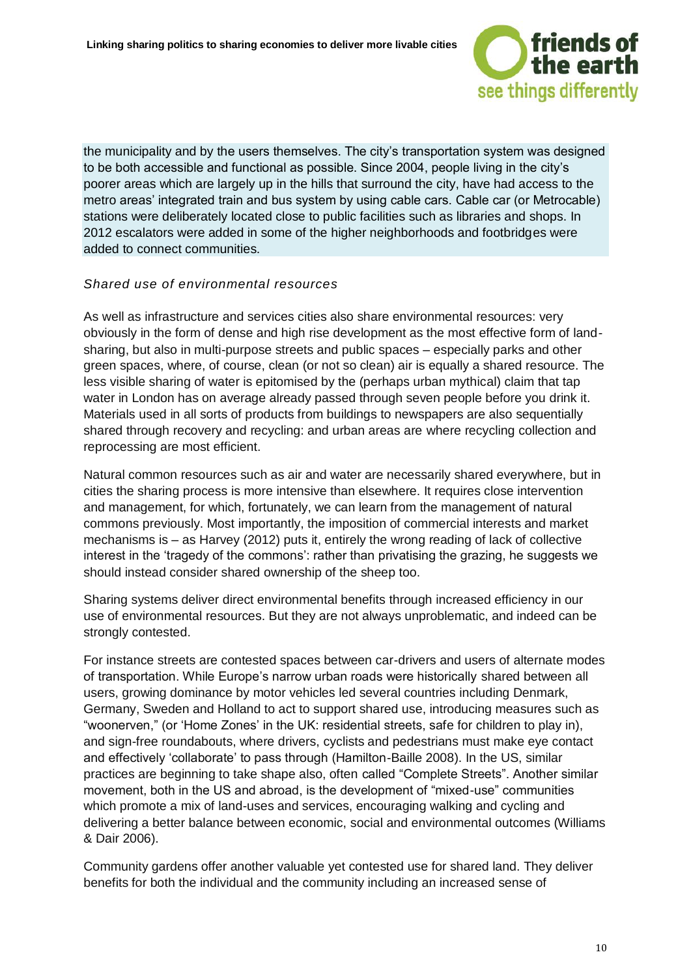

the municipality and by the users themselves. The city's transportation system was designed to be both accessible and functional as possible. Since 2004, people living in the city's poorer areas which are largely up in the hills that surround the city, have had access to the metro areas' integrated train and bus system by using cable cars. Cable car (or Metrocable) stations were deliberately located close to public facilities such as libraries and shops. In 2012 escalators were added in some of the higher neighborhoods and footbridges were added to connect communities.

#### *Shared use of environmental resources*

As well as infrastructure and services cities also share environmental resources: very obviously in the form of dense and high rise development as the most effective form of landsharing, but also in multi-purpose streets and public spaces – especially parks and other green spaces, where, of course, clean (or not so clean) air is equally a shared resource. The less visible sharing of water is epitomised by the (perhaps urban mythical) claim that tap water in London has on average already passed through seven people before you drink it. Materials used in all sorts of products from buildings to newspapers are also sequentially shared through recovery and recycling: and urban areas are where recycling collection and reprocessing are most efficient.

Natural common resources such as air and water are necessarily shared everywhere, but in cities the sharing process is more intensive than elsewhere. It requires close intervention and management, for which, fortunately, we can learn from the management of natural commons previously. Most importantly, the imposition of commercial interests and market mechanisms is – as Harvey (2012) puts it, entirely the wrong reading of lack of collective interest in the 'tragedy of the commons': rather than privatising the grazing, he suggests we should instead consider shared ownership of the sheep too.

Sharing systems deliver direct environmental benefits through increased efficiency in our use of environmental resources. But they are not always unproblematic, and indeed can be strongly contested.

For instance streets are contested spaces between car-drivers and users of alternate modes of transportation. While Europe's narrow urban roads were historically shared between all users, growing dominance by motor vehicles led several countries including Denmark, Germany, Sweden and Holland to act to support shared use, introducing measures such as "woonerven," (or 'Home Zones' in the UK: residential streets, safe for children to play in), and sign-free roundabouts, where drivers, cyclists and pedestrians must make eye contact and effectively 'collaborate' to pass through (Hamilton-Baille 2008). In the US, similar practices are beginning to take shape also, often called "Complete Streets". Another similar movement, both in the US and abroad, is the development of "mixed-use" communities which promote a mix of land-uses and services, encouraging walking and cycling and delivering a better balance between economic, social and environmental outcomes (Williams & Dair 2006).

Community gardens offer another valuable yet contested use for shared land. They deliver benefits for both the individual and the community including an increased sense of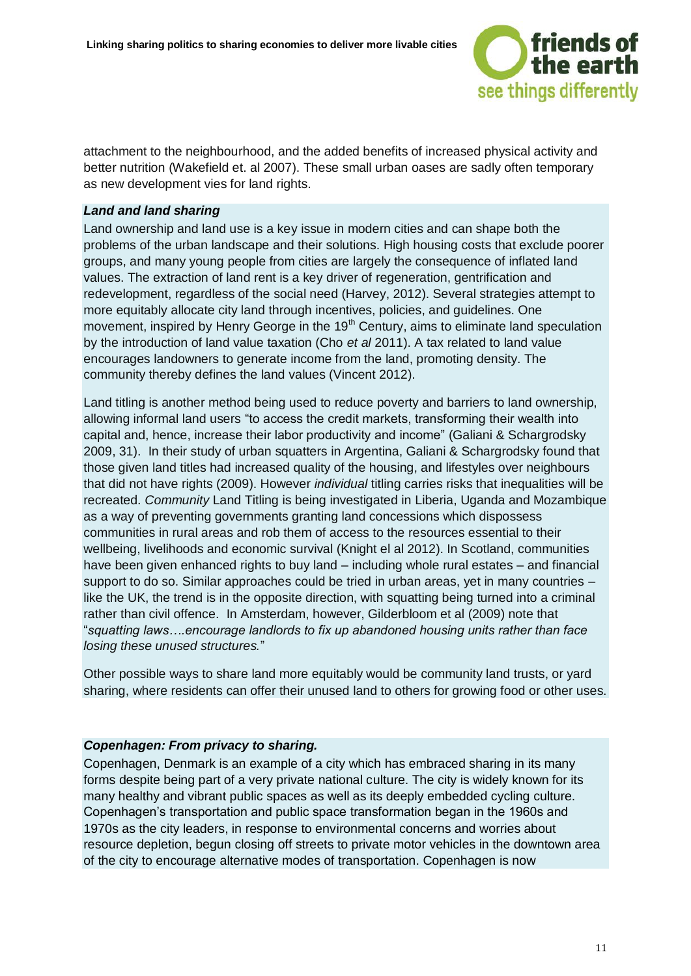

attachment to the neighbourhood, and the added benefits of increased physical activity and better nutrition (Wakefield et. al 2007). These small urban oases are sadly often temporary as new development vies for land rights.

#### *Land and land sharing*

Land ownership and land use is a key issue in modern cities and can shape both the problems of the urban landscape and their solutions. High housing costs that exclude poorer groups, and many young people from cities are largely the consequence of inflated land values. The extraction of land rent is a key driver of regeneration, gentrification and redevelopment, regardless of the social need (Harvey, 2012). Several strategies attempt to more equitably allocate city land through incentives, policies, and guidelines. One movement, inspired by Henry George in the  $19<sup>th</sup>$  Century, aims to eliminate land speculation by the introduction of land value taxation (Cho *et al* 2011). A tax related to land value encourages landowners to generate income from the land, promoting density. The community thereby defines the land values (Vincent 2012).

Land titling is another method being used to reduce poverty and barriers to land ownership, allowing informal land users "to access the credit markets, transforming their wealth into capital and, hence, increase their labor productivity and income" (Galiani & Schargrodsky 2009, 31). In their study of urban squatters in Argentina, Galiani & Schargrodsky found that those given land titles had increased quality of the housing, and lifestyles over neighbours that did not have rights (2009). However *individual* titling carries risks that inequalities will be recreated. *Community* Land Titling is being investigated in Liberia, Uganda and Mozambique as a way of preventing governments granting land concessions which dispossess communities in rural areas and rob them of access to the resources essential to their wellbeing, livelihoods and economic survival (Knight el al 2012). In Scotland, communities have been given enhanced rights to buy land – including whole rural estates – and financial support to do so. Similar approaches could be tried in urban areas, yet in many countries – like the UK, the trend is in the opposite direction, with squatting being turned into a criminal rather than civil offence. In Amsterdam, however, Gilderbloom et al (2009) note that "*squatting laws….encourage landlords to fix up abandoned housing units rather than face losing these unused structures.*"

Other possible ways to share land more equitably would be community land trusts, or yard sharing, where residents can offer their unused land to others for growing food or other uses.

#### *Copenhagen: From privacy to sharing.*

Copenhagen, Denmark is an example of a city which has embraced sharing in its many forms despite being part of a very private national culture. The city is widely known for its many healthy and vibrant public spaces as well as its deeply embedded cycling culture. Copenhagen's transportation and public space transformation began in the 1960s and 1970s as the city leaders, in response to environmental concerns and worries about resource depletion, begun closing off streets to private motor vehicles in the downtown area of the city to encourage alternative modes of transportation. Copenhagen is now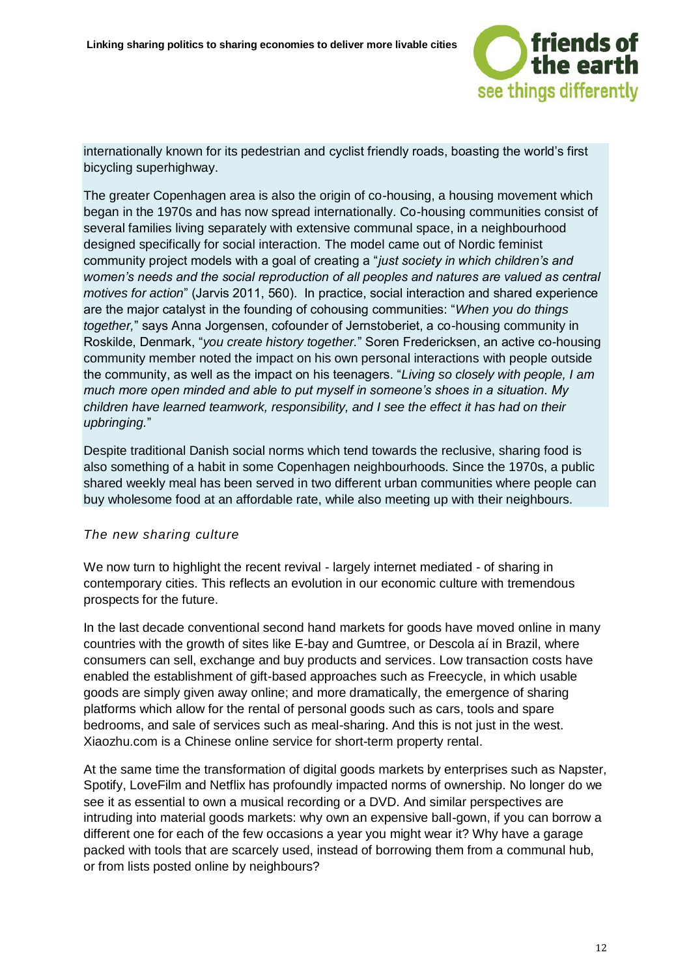

internationally known for its pedestrian and cyclist friendly roads, boasting the world's first bicycling superhighway.

The greater Copenhagen area is also the origin of co-housing, a housing movement which began in the 1970s and has now spread internationally. Co-housing communities consist of several families living separately with extensive communal space, in a neighbourhood designed specifically for social interaction. The model came out of Nordic feminist community project models with a goal of creating a "*just society in which children's and women's needs and the social reproduction of all peoples and natures are valued as central motives for action*" (Jarvis 2011, 560). In practice, social interaction and shared experience are the major catalyst in the founding of cohousing communities: "*When you do things together,*" says Anna Jorgensen, cofounder of Jernstoberiet, a co-housing community in Roskilde, Denmark, "*you create history together.*" Soren Fredericksen, an active co-housing community member noted the impact on his own personal interactions with people outside the community, as well as the impact on his teenagers. "*Living so closely with people, I am much more open minded and able to put myself in someone's shoes in a situation. My children have learned teamwork, responsibility, and I see the effect it has had on their upbringing.*"

Despite traditional Danish social norms which tend towards the reclusive, sharing food is also something of a habit in some Copenhagen neighbourhoods. Since the 1970s, a public shared weekly meal has been served in two different urban communities where people can buy wholesome food at an affordable rate, while also meeting up with their neighbours.

#### *The new sharing culture*

We now turn to highlight the recent revival - largely internet mediated - of sharing in contemporary cities. This reflects an evolution in our economic culture with tremendous prospects for the future.

In the last decade conventional second hand markets for goods have moved online in many countries with the growth of sites like E-bay and Gumtree, or [Descola aí](http://www.descolaai.com/) in Brazil, where consumers can sell, exchange and buy products and services. Low transaction costs have enabled the establishment of gift-based approaches such as Freecycle, in which usable goods are simply given away online; and more dramatically, the emergence of sharing platforms which allow for the rental of personal goods such as cars, tools and spare bedrooms, and sale of services such as meal-sharing. And this is not just in the west. Xiaozhu.com is a Chinese online service for short-term property rental.

At the same time the transformation of digital goods markets by enterprises such as Napster, Spotify, LoveFilm and Netflix has profoundly impacted norms of ownership. No longer do we see it as essential to own a musical recording or a DVD. And similar perspectives are intruding into material goods markets: why own an expensive ball-gown, if you can borrow a different one for each of the few occasions a year you might wear it? Why have a garage packed with tools that are scarcely used, instead of borrowing them from a communal hub, or from lists posted online by neighbours?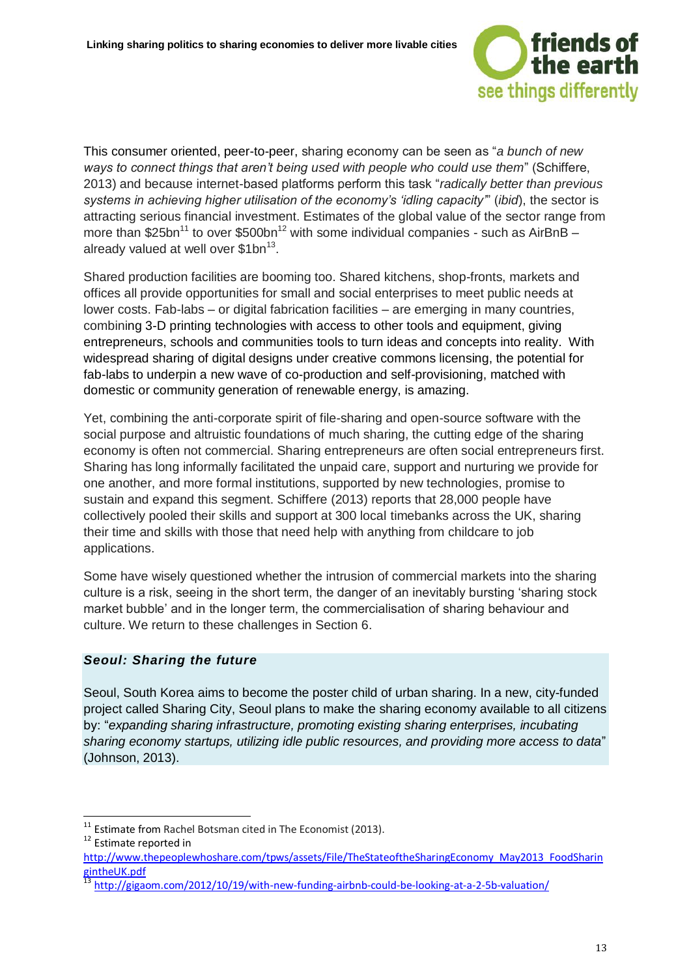

This consumer oriented, peer-to-peer, sharing economy can be seen as "*a bunch of new ways to connect things that aren't being used with people who could use them*" (Schiffere, 2013) and because internet-based platforms perform this task "*radically better than previous systems in achieving higher utilisation of the economy's 'idling capacity'*" (*ibid*), the sector is attracting serious financial investment. Estimates of the global value of the sector range from more than \$25bn<sup>11</sup> to over \$500bn<sup>12</sup> with some individual companies - such as AirBnB – already valued at well over \$1bn<sup>13</sup>.

Shared production facilities are booming too. Shared kitchens, shop-fronts, markets and offices all provide opportunities for small and social enterprises to meet public needs at lower costs. Fab-labs – or digital fabrication facilities – are emerging in many countries, combining 3-D printing technologies with access to other tools and equipment, giving entrepreneurs, schools and communities tools to turn ideas and concepts into reality. With widespread sharing of digital designs under creative commons licensing, the potential for fab-labs to underpin a new wave of co-production and self-provisioning, matched with domestic or community generation of renewable energy, is amazing.

Yet, combining the anti-corporate spirit of file-sharing and open-source software with the social purpose and altruistic foundations of much sharing, the cutting edge of the sharing economy is often not commercial. Sharing entrepreneurs are often social entrepreneurs first. Sharing has long informally facilitated the unpaid care, support and nurturing we provide for one another, and more formal institutions, supported by new technologies, promise to sustain and expand this segment. Schiffere (2013) reports that 28,000 people have collectively pooled their skills and support at 300 local timebanks across the UK, sharing their time and skills with those that need help with anything from childcare to job applications.

Some have wisely questioned whether the intrusion of commercial markets into the sharing culture is a risk, seeing in the short term, the danger of an inevitably bursting 'sharing stock market bubble' and in the longer term, the commercialisation of sharing behaviour and culture. We return to these challenges in Section 6.

#### *Seoul: Sharing the future*

Seoul, South Korea aims to become the poster child of urban sharing. In a new, city-funded project called Sharing City, Seoul plans to make the sharing economy available to all citizens by: "*expanding sharing infrastructure, promoting existing sharing enterprises, incubating sharing economy startups, utilizing idle public resources, and providing more access to data*" (Johnson, 2013).

<sup>12</sup> Estimate reported in

 $11$  Estimate from Rachel Botsman cited in The Economist (2013).

[http://www.thepeoplewhoshare.com/tpws/assets/File/TheStateoftheSharingEconomy\\_May2013\\_FoodSharin](http://www.thepeoplewhoshare.com/tpws/assets/File/TheStateoftheSharingEconomy_May2013_FoodSharingintheUK.pdf) [gintheUK.pdf](http://www.thepeoplewhoshare.com/tpws/assets/File/TheStateoftheSharingEconomy_May2013_FoodSharingintheUK.pdf)

<sup>&</sup>lt;sup>13</sup> <http://gigaom.com/2012/10/19/with-new-funding-airbnb-could-be-looking-at-a-2-5b-valuation/>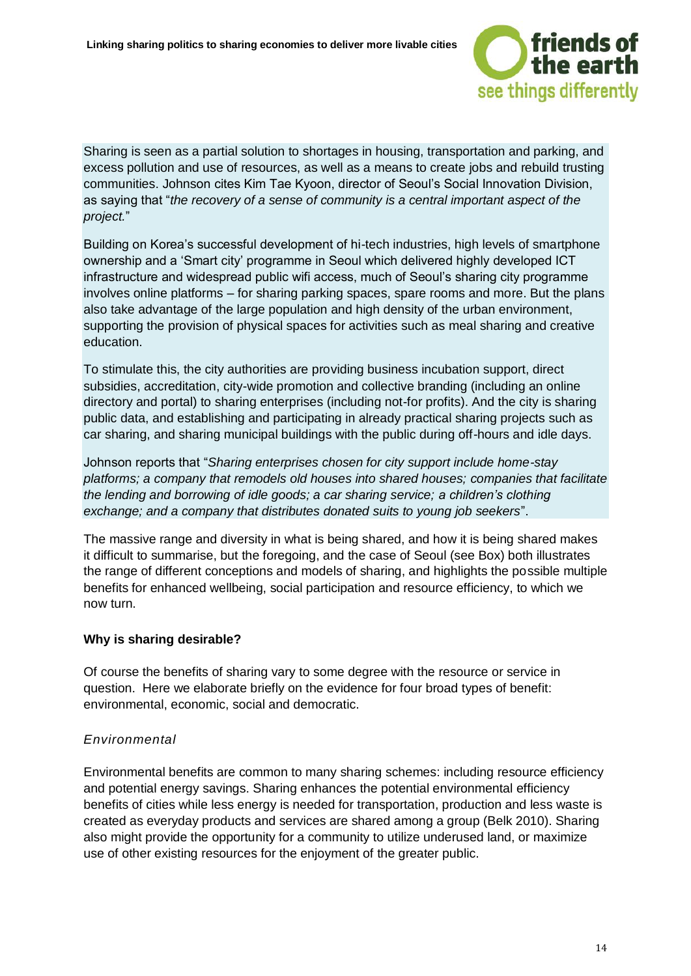

Sharing is seen as a partial solution to shortages in housing, transportation and parking, and excess pollution and use of resources, as well as a means to create jobs and rebuild trusting communities. Johnson cites Kim Tae Kyoon, director of Seoul's Social Innovation Division, as saying that "*the recovery of a sense of community is a central important aspect of the project.*"

Building on Korea's successful development of hi-tech industries, high levels of smartphone ownership and a 'Smart city' programme in Seoul which delivered highly developed ICT infrastructure and widespread public wifi access, much of Seoul's sharing city programme involves online platforms – for sharing parking spaces, spare rooms and more. But the plans also take advantage of the large population and high density of the urban environment, supporting the provision of physical spaces for activities such as meal sharing and creative education.

To stimulate this, the city authorities are providing business incubation support, direct subsidies, accreditation, city-wide promotion and collective branding (including an online directory and portal) to sharing enterprises (including not-for profits). And the city is sharing public data, and establishing and participating in already practical sharing projects such as car sharing, and sharing municipal buildings with the public during off-hours and idle days.

Johnson reports that "*Sharing enterprises chosen for city support include home-stay platforms; a company that remodels old houses into shared houses; companies that facilitate the lending and borrowing of idle goods; a car sharing service; a children's clothing exchange; and a company that distributes donated suits to young job seekers*".

The massive range and diversity in what is being shared, and how it is being shared makes it difficult to summarise, but the foregoing, and the case of Seoul (see Box) both illustrates the range of different conceptions and models of sharing, and highlights the possible multiple benefits for enhanced wellbeing, social participation and resource efficiency, to which we now turn.

#### **Why is sharing desirable?**

Of course the benefits of sharing vary to some degree with the resource or service in question. Here we elaborate briefly on the evidence for four broad types of benefit: environmental, economic, social and democratic.

#### *Environmental*

Environmental benefits are common to many sharing schemes: including resource efficiency and potential energy savings. Sharing enhances the potential environmental efficiency benefits of cities while less energy is needed for transportation, production and less waste is created as everyday products and services are shared among a group (Belk 2010). Sharing also might provide the opportunity for a community to utilize underused land, or maximize use of other existing resources for the enjoyment of the greater public.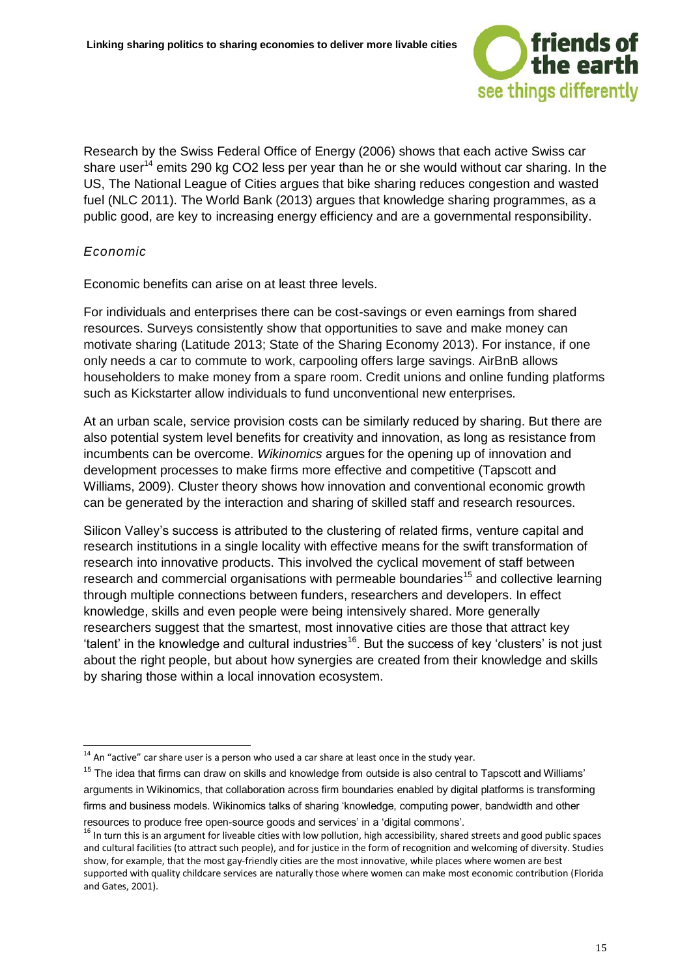

Research by the Swiss Federal Office of Energy (2006) shows that each active Swiss car share user<sup>14</sup> emits 290 kg CO2 less per year than he or she would without car sharing. In the US, The National League of Cities argues that bike sharing reduces congestion and wasted fuel (NLC 2011). The World Bank (2013) argues that knowledge sharing programmes, as a public good, are key to increasing energy efficiency and are a governmental responsibility.

#### *Economic*

-

Economic benefits can arise on at least three levels.

For individuals and enterprises there can be cost-savings or even earnings from shared resources. Surveys consistently show that opportunities to save and make money can motivate sharing (Latitude 2013; State of the Sharing Economy 2013). For instance, if one only needs a car to commute to work, carpooling offers large savings. AirBnB allows householders to make money from a spare room. Credit unions and online funding platforms such as Kickstarter allow individuals to fund unconventional new enterprises.

At an urban scale, service provision costs can be similarly reduced by sharing. But there are also potential system level benefits for creativity and innovation, as long as resistance from incumbents can be overcome. *Wikinomics* argues for the opening up of innovation and development processes to make firms more effective and competitive (Tapscott and Williams, 2009). Cluster theory shows how innovation and conventional economic growth can be generated by the interaction and sharing of skilled staff and research resources.

Silicon Valley's success is attributed to the clustering of related firms, venture capital and research institutions in a single locality with effective means for the swift transformation of research into innovative products. This involved the cyclical movement of staff between research and commercial organisations with permeable boundaries<sup>15</sup> and collective learning through multiple connections between funders, researchers and developers. In effect knowledge, skills and even people were being intensively shared. More generally researchers suggest that the smartest, most innovative cities are those that attract key 'talent' in the knowledge and cultural industries<sup>16</sup>. But the success of key 'clusters' is not just about the right people, but about how synergies are created from their knowledge and skills by sharing those within a local innovation ecosystem.

 $14$  An "active" car share user is a person who used a car share at least once in the study year.

 $15$  The idea that firms can draw on skills and knowledge from outside is also central to Tapscott and Williams' arguments in Wikinomics, that collaboration across firm boundaries enabled by digital platforms is transforming firms and business models. Wikinomics talks of sharing 'knowledge, computing power, bandwidth and other resources to produce free open-source goods and services' in a 'digital commons'.

<sup>&</sup>lt;sup>16</sup> In turn this is an argument for liveable cities with low pollution, high accessibility, shared streets and good public spaces and cultural facilities (to attract such people), and for justice in the form of recognition and welcoming of diversity. Studies show, for example, that the most gay-friendly cities are the most innovative, while places where women are best supported with quality childcare services are naturally those where women can make most economic contribution (Florida and Gates, 2001).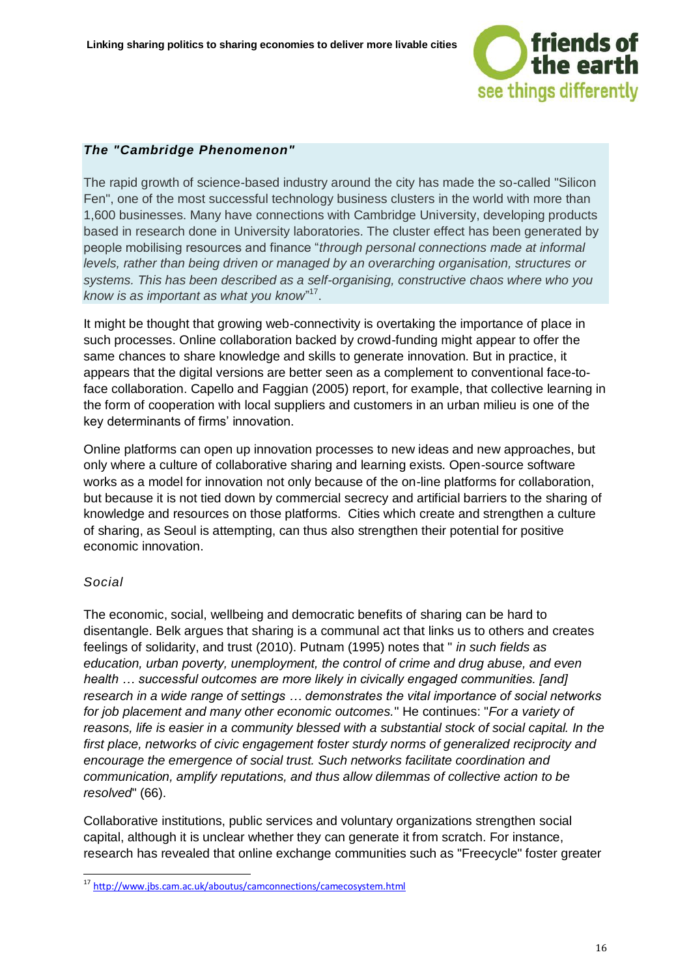

#### *The "Cambridge Phenomenon"*

The rapid growth of science-based industry around the city has made the so-called "Silicon Fen", one of the most successful technology business clusters in the world with more than 1,600 businesses. Many have connections with Cambridge University, developing products based in research done in University laboratories. The cluster effect has been generated by people mobilising resources and finance "*through personal connections made at informal levels, rather than being driven or managed by an overarching organisation, structures or systems. This has been described as a self-organising, constructive chaos where who you know is as important as what you know*" 17 .

It might be thought that growing web-connectivity is overtaking the importance of place in such processes. Online collaboration backed by crowd-funding might appear to offer the same chances to share knowledge and skills to generate innovation. But in practice, it appears that the digital versions are better seen as a complement to conventional face-toface collaboration. Capello and Faggian (2005) report, for example, that collective learning in the form of cooperation with local suppliers and customers in an urban milieu is one of the key determinants of firms' innovation.

Online platforms can open up innovation processes to new ideas and new approaches, but only where a culture of collaborative sharing and learning exists. Open-source software works as a model for innovation not only because of the on-line platforms for collaboration, but because it is not tied down by commercial secrecy and artificial barriers to the sharing of knowledge and resources on those platforms. Cities which create and strengthen a culture of sharing, as Seoul is attempting, can thus also strengthen their potential for positive economic innovation.

#### *Social*

-

The economic, social, wellbeing and democratic benefits of sharing can be hard to disentangle. Belk argues that sharing is a communal act that links us to others and creates feelings of solidarity, and trust (2010). Putnam (1995) notes that " *in such fields as education, urban poverty, unemployment, the control of crime and drug abuse, and even health … successful outcomes are more likely in civically engaged communities. [and] research in a wide range of settings … demonstrates the vital importance of social networks for job placement and many other economic outcomes.*" He continues: "*For a variety of reasons, life is easier in a community blessed with a substantial stock of social capital. In the first place, networks of civic engagement foster sturdy norms of generalized reciprocity and encourage the emergence of social trust. Such networks facilitate coordination and communication, amplify reputations, and thus allow dilemmas of collective action to be resolved*" (66).

Collaborative institutions, public services and voluntary organizations strengthen social capital, although it is unclear whether they can generate it from scratch. For instance, research has revealed that online exchange communities such as "Freecycle" foster greater

<sup>&</sup>lt;sup>17</sup> <http://www.jbs.cam.ac.uk/aboutus/camconnections/camecosystem.html>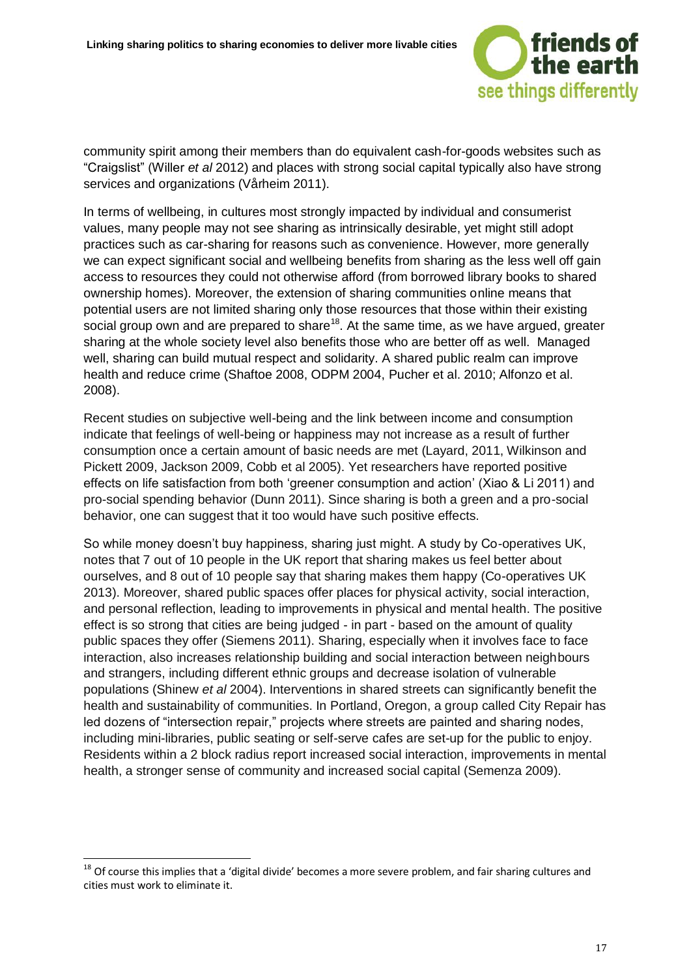

community spirit among their members than do equivalent cash-for-goods websites such as "Craigslist" (Willer *et al* 2012) and places with strong social capital typically also have strong services and organizations (Vårheim 2011).

In terms of wellbeing, in cultures most strongly impacted by individual and consumerist values, many people may not see sharing as intrinsically desirable, yet might still adopt practices such as car-sharing for reasons such as convenience. However, more generally we can expect significant social and wellbeing benefits from sharing as the less well off gain access to resources they could not otherwise afford (from borrowed library books to shared ownership homes). Moreover, the extension of sharing communities online means that potential users are not limited sharing only those resources that those within their existing social group own and are prepared to share<sup>18</sup>. At the same time, as we have argued, greater sharing at the whole society level also benefits those who are better off as well. Managed well, sharing can build mutual respect and solidarity. A shared public realm can improve health and reduce crime (Shaftoe 2008, ODPM 2004, Pucher et al. 2010; Alfonzo et al. 2008).

Recent studies on subjective well-being and the link between income and consumption indicate that feelings of well-being or happiness may not increase as a result of further consumption once a certain amount of basic needs are met (Layard, 2011, Wilkinson and Pickett 2009, Jackson 2009, Cobb et al 2005). Yet researchers have reported positive effects on life satisfaction from both 'greener consumption and action' (Xiao & Li 2011) and pro-social spending behavior (Dunn 2011). Since sharing is both a green and a pro-social behavior, one can suggest that it too would have such positive effects.

So while money doesn't buy happiness, sharing just might. A study by Co-operatives UK, notes that 7 out of 10 people in the UK report that sharing makes us feel better about ourselves, and 8 out of 10 people say that sharing makes them happy (Co-operatives UK 2013). Moreover, shared public spaces offer places for physical activity, social interaction, and personal reflection, leading to improvements in physical and mental health. The positive effect is so strong that cities are being judged - in part - based on the amount of quality public spaces they offer (Siemens 2011). Sharing, especially when it involves face to face interaction, also increases relationship building and social interaction between neighbours and strangers, including different ethnic groups and decrease isolation of vulnerable populations (Shinew *et al* 2004). Interventions in shared streets can significantly benefit the health and sustainability of communities. In Portland, Oregon, a group called City Repair has led dozens of "intersection repair," projects where streets are painted and sharing nodes, including mini-libraries, public seating or self-serve cafes are set-up for the public to enjoy. Residents within a 2 block radius report increased social interaction, improvements in mental health, a stronger sense of community and increased social capital (Semenza 2009).

 $18$  Of course this implies that a 'digital divide' becomes a more severe problem, and fair sharing cultures and cities must work to eliminate it.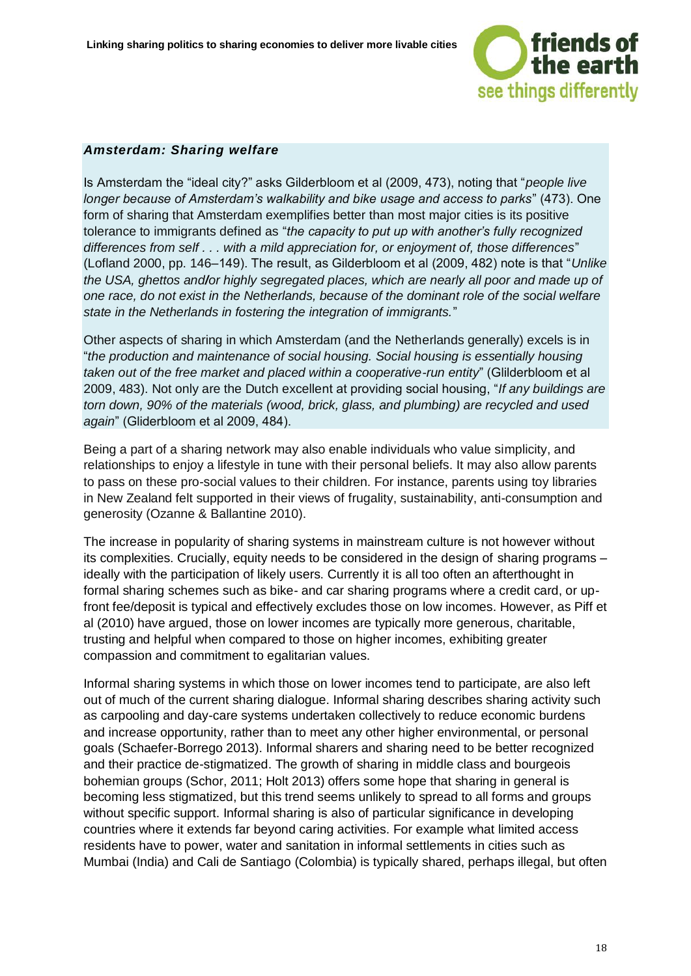

#### *Amsterdam: Sharing welfare*

Is Amsterdam the "ideal city?" asks Gilderbloom et al (2009, 473), noting that "*people live longer because of Amsterdam's walkability and bike usage and access to parks*" (473). One form of sharing that Amsterdam exemplifies better than most major cities is its positive tolerance to immigrants defined as "*the capacity to put up with another's fully recognized differences from self . . . with a mild appreciation for, or enjoyment of, those differences*" (Lofland 2000, pp. 146–149). The result, as Gilderbloom et al (2009, 482) note is that "*Unlike the USA, ghettos and/or highly segregated places, which are nearly all poor and made up of one race, do not exist in the Netherlands, because of the dominant role of the social welfare state in the Netherlands in fostering the integration of immigrants.*"

Other aspects of sharing in which Amsterdam (and the Netherlands generally) excels is in "*the production and maintenance of social housing. Social housing is essentially housing taken out of the free market and placed within a cooperative-run entity*" (Glilderbloom et al 2009, 483). Not only are the Dutch excellent at providing social housing, "*If any buildings are torn down, 90% of the materials (wood, brick, glass, and plumbing) are recycled and used again*" (Gliderbloom et al 2009, 484).

Being a part of a sharing network may also enable individuals who value simplicity, and relationships to enjoy a lifestyle in tune with their personal beliefs. It may also allow parents to pass on these pro-social values to their children. For instance, parents using toy libraries in New Zealand felt supported in their views of frugality, sustainability, anti-consumption and generosity (Ozanne & Ballantine 2010).

The increase in popularity of sharing systems in mainstream culture is not however without its complexities. Crucially, equity needs to be considered in the design of sharing programs – ideally with the participation of likely users. Currently it is all too often an afterthought in formal sharing schemes such as bike- and car sharing programs where a credit card, or upfront fee/deposit is typical and effectively excludes those on low incomes. However, as Piff et al (2010) have argued, those on lower incomes are typically more generous, charitable, trusting and helpful when compared to those on higher incomes, exhibiting greater compassion and commitment to egalitarian values.

Informal sharing systems in which those on lower incomes tend to participate, are also left out of much of the current sharing dialogue. Informal sharing describes sharing activity such as carpooling and day-care systems undertaken collectively to reduce economic burdens and increase opportunity, rather than to meet any other higher environmental, or personal goals (Schaefer-Borrego 2013). Informal sharers and sharing need to be better recognized and their practice de-stigmatized. The growth of sharing in middle class and bourgeois bohemian groups (Schor, 2011; Holt 2013) offers some hope that sharing in general is becoming less stigmatized, but this trend seems unlikely to spread to all forms and groups without specific support. Informal sharing is also of particular significance in developing countries where it extends far beyond caring activities. For example what limited access residents have to power, water and sanitation in informal settlements in cities such as Mumbai (India) and Cali de Santiago (Colombia) is typically shared, perhaps illegal, but often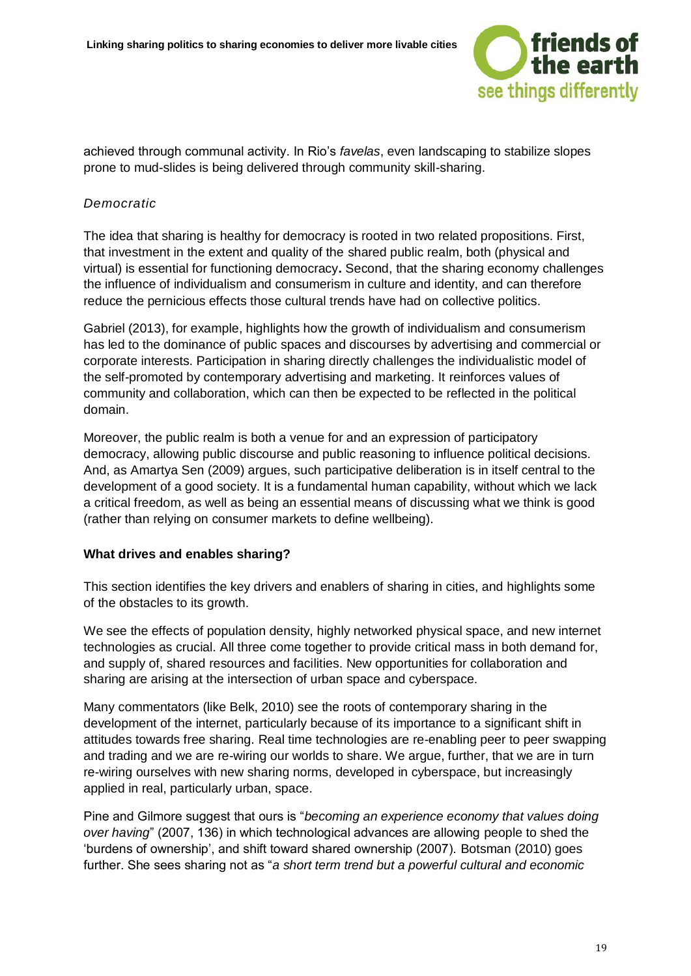

achieved through communal activity. In Rio's *favelas*, even landscaping to stabilize slopes prone to mud-slides is being delivered through community skill-sharing.

#### *Democratic*

The idea that sharing is healthy for democracy is rooted in two related propositions. First, that investment in the extent and quality of the shared public realm, both (physical and virtual) is essential for functioning democracy**.** Second, that the sharing economy challenges the influence of individualism and consumerism in culture and identity, and can therefore reduce the pernicious effects those cultural trends have had on collective politics.

Gabriel (2013), for example, highlights how the growth of individualism and consumerism has led to the dominance of public spaces and discourses by advertising and commercial or corporate interests. Participation in sharing directly challenges the individualistic model of the self-promoted by contemporary advertising and marketing. It reinforces values of community and collaboration, which can then be expected to be reflected in the political domain.

Moreover, the public realm is both a venue for and an expression of participatory democracy, allowing public discourse and public reasoning to influence political decisions. And, as Amartya Sen (2009) argues, such participative deliberation is in itself central to the development of a good society. It is a fundamental human capability, without which we lack a critical freedom, as well as being an essential means of discussing what we think is good (rather than relying on consumer markets to define wellbeing).

#### **What drives and enables sharing?**

This section identifies the key drivers and enablers of sharing in cities, and highlights some of the obstacles to its growth.

We see the effects of population density, highly networked physical space, and new internet technologies as crucial. All three come together to provide critical mass in both demand for, and supply of, shared resources and facilities. New opportunities for collaboration and sharing are arising at the intersection of urban space and cyberspace.

Many commentators (like Belk, 2010) see the roots of contemporary sharing in the development of the internet, particularly because of its importance to a significant shift in attitudes towards free sharing. Real time technologies are re-enabling peer to peer swapping and trading and we are re-wiring our worlds to share. We argue, further, that we are in turn re-wiring ourselves with new sharing norms, developed in cyberspace, but increasingly applied in real, particularly urban, space.

Pine and Gilmore suggest that ours is "*becoming an experience economy that values doing over having*" (2007, 136) in which technological advances are allowing people to shed the 'burdens of ownership', and shift toward shared ownership (2007). Botsman (2010) goes further. She sees sharing not as "*a short term trend but a powerful cultural and economic*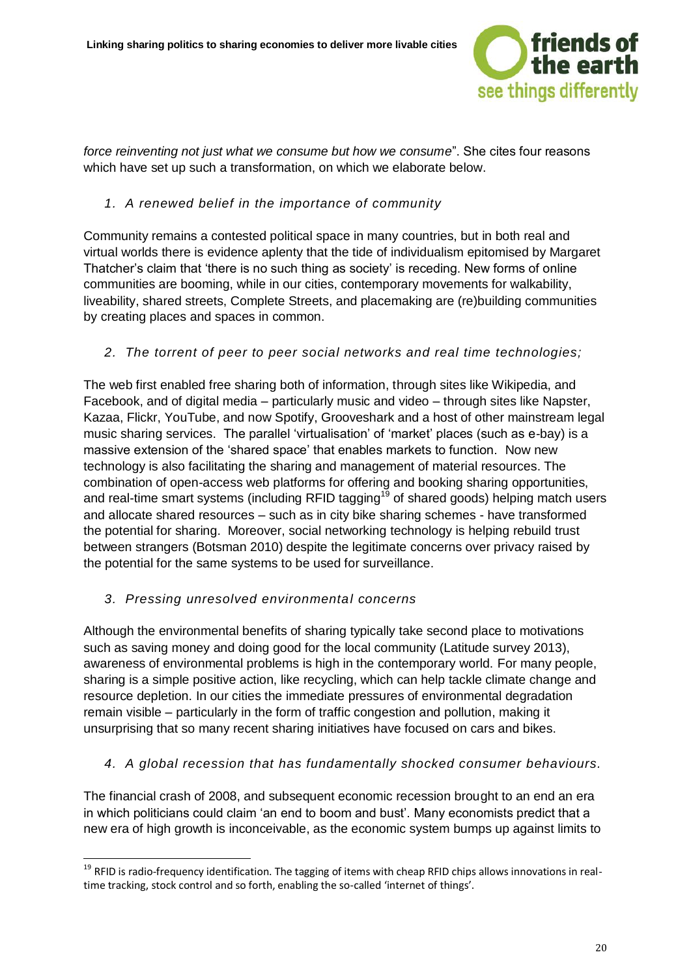

*force reinventing not just what we consume but how we consume*". She cites four reasons which have set up such a transformation, on which we elaborate below.

#### *1. A renewed belief in the importance of community*

Community remains a contested political space in many countries, but in both real and virtual worlds there is evidence aplenty that the tide of individualism epitomised by Margaret Thatcher's claim that 'there is no such thing as society' is receding. New forms of online communities are booming, while in our cities, contemporary movements for walkability, liveability, shared streets, Complete Streets, and placemaking are (re)building communities by creating places and spaces in common.

#### *2. The torrent of peer to peer social networks and real time technologies;*

The web first enabled free sharing both of information, through sites like Wikipedia, and Facebook, and of digital media – particularly music and video – through sites like Napster, Kazaa, Flickr, YouTube, and now Spotify, Grooveshark and a host of other mainstream legal music sharing services. The parallel 'virtualisation' of 'market' places (such as e-bay) is a massive extension of the 'shared space' that enables markets to function. Now new technology is also facilitating the sharing and management of material resources. The combination of open-access web platforms for offering and booking sharing opportunities, and real-time smart systems (including RFID tagging<sup>19</sup> of shared goods) helping match users and allocate shared resources – such as in city bike sharing schemes - have transformed the potential for sharing. Moreover, social networking technology is helping rebuild trust between strangers (Botsman 2010) despite the legitimate concerns over privacy raised by the potential for the same systems to be used for surveillance.

#### *3. Pressing unresolved environmental concerns*

-

Although the environmental benefits of sharing typically take second place to motivations such as saving money and doing good for the local community (Latitude survey 2013), awareness of environmental problems is high in the contemporary world. For many people, sharing is a simple positive action, like recycling, which can help tackle climate change and resource depletion. In our cities the immediate pressures of environmental degradation remain visible – particularly in the form of traffic congestion and pollution, making it unsurprising that so many recent sharing initiatives have focused on cars and bikes.

#### *4. A global recession that has fundamentally shocked consumer behaviours.*

The financial crash of 2008, and subsequent economic recession brought to an end an era in which politicians could claim 'an end to boom and bust'. Many economists predict that a new era of high growth is inconceivable, as the economic system bumps up against limits to

<sup>&</sup>lt;sup>19</sup> RFID is radio-frequency identification. The tagging of items with cheap RFID chips allows innovations in realtime tracking, stock control and so forth, enabling the so-called 'internet of things'.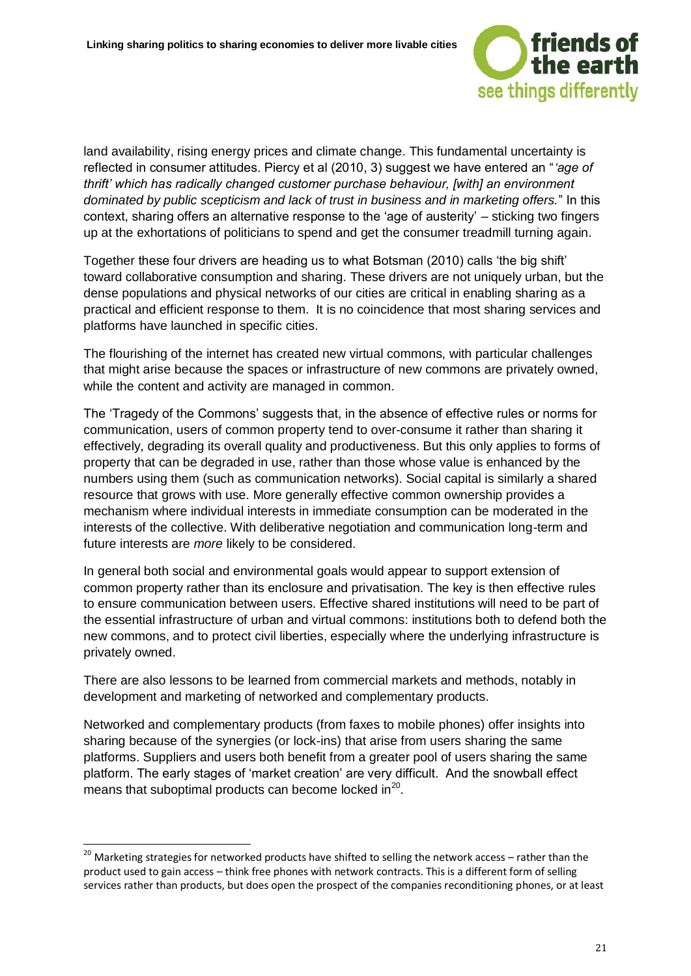

land availability, rising energy prices and climate change. This fundamental uncertainty is reflected in consumer attitudes. Piercy et al (2010, 3) suggest we have entered an "*'age of thrift' which has radically changed customer purchase behaviour, [with] an environment dominated by public scepticism and lack of trust in business and in marketing offers.*" In this context, sharing offers an alternative response to the 'age of austerity' – sticking two fingers up at the exhortations of politicians to spend and get the consumer treadmill turning again.

Together these four drivers are heading us to what Botsman (2010) calls 'the big shift' toward collaborative consumption and sharing. These drivers are not uniquely urban, but the dense populations and physical networks of our cities are critical in enabling sharing as a practical and efficient response to them. It is no coincidence that most sharing services and platforms have launched in specific cities.

The flourishing of the internet has created new virtual commons, with particular challenges that might arise because the spaces or infrastructure of new commons are privately owned, while the content and activity are managed in common.

The 'Tragedy of the Commons' suggests that, in the absence of effective rules or norms for communication, users of common property tend to over-consume it rather than sharing it effectively, degrading its overall quality and productiveness. But this only applies to forms of property that can be degraded in use, rather than those whose value is enhanced by the numbers using them (such as communication networks). Social capital is similarly a shared resource that grows with use. More generally effective common ownership provides a mechanism where individual interests in immediate consumption can be moderated in the interests of the collective. With deliberative negotiation and communication long-term and future interests are *more* likely to be considered.

In general both social and environmental goals would appear to support extension of common property rather than its enclosure and privatisation. The key is then effective rules to ensure communication between users. Effective shared institutions will need to be part of the essential infrastructure of urban and virtual commons: institutions both to defend both the new commons, and to protect civil liberties, especially where the underlying infrastructure is privately owned.

There are also lessons to be learned from commercial markets and methods, notably in development and marketing of networked and complementary products.

Networked and complementary products (from faxes to mobile phones) offer insights into sharing because of the synergies (or lock-ins) that arise from users sharing the same platforms. Suppliers and users both benefit from a greater pool of users sharing the same platform. The early stages of 'market creation' are very difficult. And the snowball effect means that suboptimal products can become locked in $^{20}$ .

<sup>&</sup>lt;sup>20</sup> Marketing strategies for networked products have shifted to selling the network access – rather than the product used to gain access – think free phones with network contracts. This is a different form of selling services rather than products, but does open the prospect of the companies reconditioning phones, or at least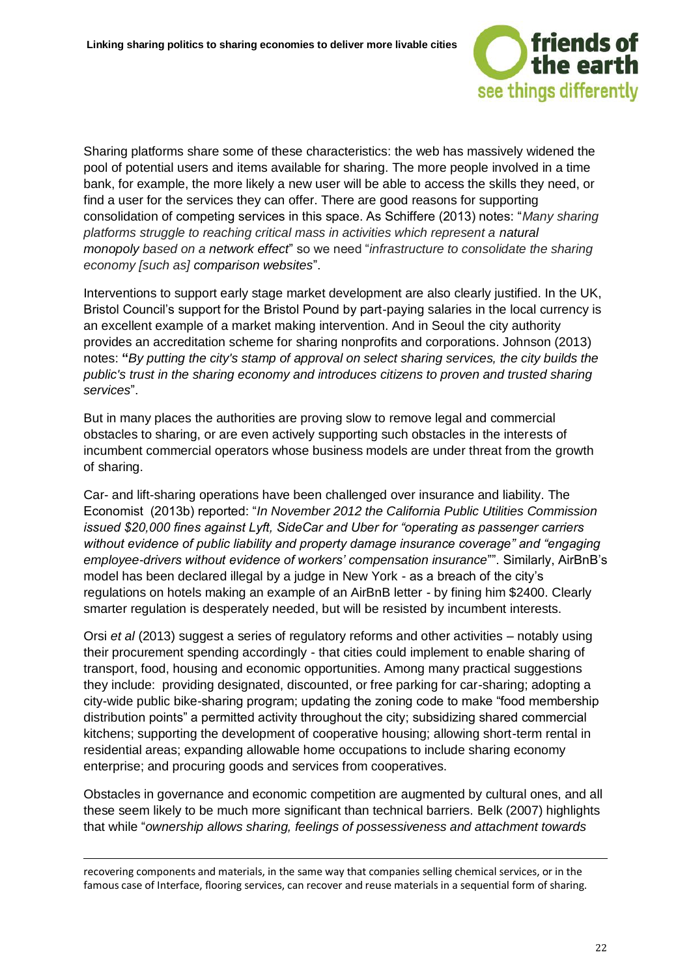

Sharing platforms share some of these characteristics: the web has massively widened the pool of potential users and items available for sharing. The more people involved in a time bank, for example, the more likely a new user will be able to access the skills they need, or find a user for the services they can offer. There are good reasons for supporting consolidation of competing services in this space. As Schiffere (2013) notes: "*Many sharing platforms struggle to reaching critical mass in activities which represent a natural monopoly based on a network effect*" so we need "*infrastructure to consolidate the sharing economy [such as] comparison websites*".

Interventions to support early stage market development are also clearly justified. In the UK, Bristol Council's support for the Bristol Pound by part-paying salaries in the local currency is an excellent example of a market making intervention. And in Seoul the city authority provides an accreditation scheme for sharing nonprofits and corporations. Johnson (2013) notes: **"***By putting the city's stamp of approval on select sharing services, the city builds the public's trust in the sharing economy and introduces citizens to proven and trusted sharing services*".

But in many places the authorities are proving slow to remove legal and commercial obstacles to sharing, or are even actively supporting such obstacles in the interests of incumbent commercial operators whose business models are under threat from the growth of sharing.

Car- and lift-sharing operations have been challenged over insurance and liability. The Economist (2013b) reported: "*In November 2012 the California Public Utilities Commission issued \$20,000 fines against Lyft, SideCar and Uber for "operating as passenger carriers without evidence of public liability and property damage insurance coverage" and "engaging employee-drivers without evidence of workers' compensation insurance*"". Similarly, AirBnB's model has been declared illegal by a judge in New York - as a breach of the city's regulations on hotels making an example of an AirBnB letter - by fining him \$2400. Clearly smarter regulation is desperately needed, but will be resisted by incumbent interests.

Orsi *et al* (2013) suggest a series of regulatory reforms and other activities – notably using their procurement spending accordingly - that cities could implement to enable sharing of transport, food, housing and economic opportunities. Among many practical suggestions they include: providing designated, discounted, or free parking for car-sharing; adopting a city-wide public bike-sharing program; updating the zoning code to make "food membership distribution points" a permitted activity throughout the city; subsidizing shared commercial kitchens; supporting the development of cooperative housing; allowing short-term rental in residential areas; expanding allowable home occupations to include sharing economy enterprise; and procuring goods and services from cooperatives.

Obstacles in governance and economic competition are augmented by cultural ones, and all these seem likely to be much more significant than technical barriers. Belk (2007) highlights that while "*ownership allows sharing, feelings of possessiveness and attachment towards* 

recovering components and materials, in the same way that companies selling chemical services, or in the famous case of Interface, flooring services, can recover and reuse materials in a sequential form of sharing.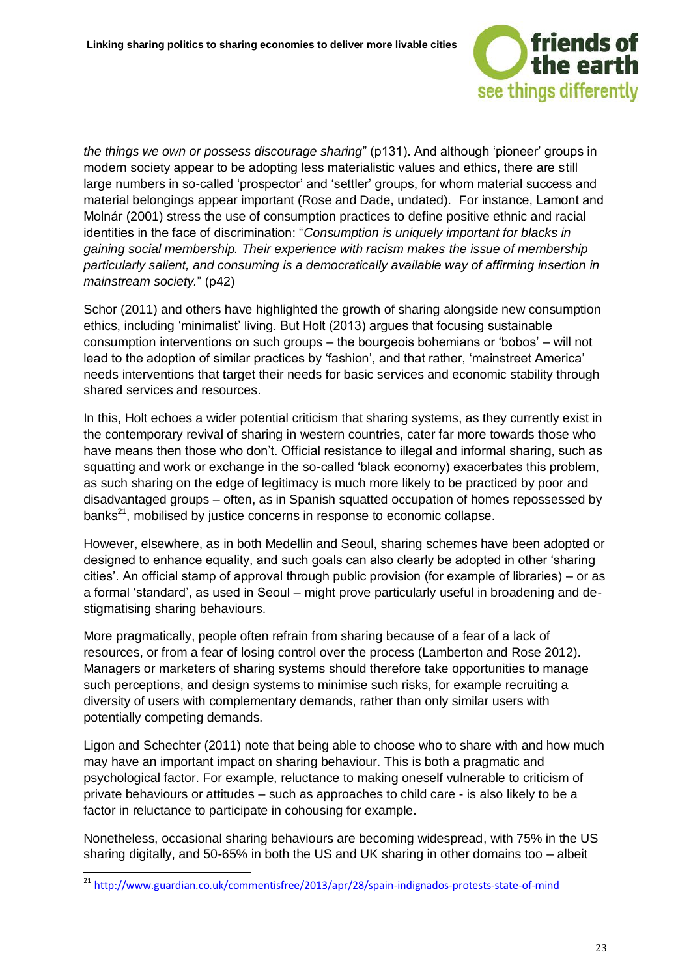

*the things we own or possess discourage sharing*" (p131). And although 'pioneer' groups in modern society appear to be adopting less materialistic values and ethics, there are still large numbers in so-called 'prospector' and 'settler' groups, for whom material success and material belongings appear important (Rose and Dade, undated). For instance, Lamont and Molnár (2001) stress the use of consumption practices to define positive ethnic and racial identities in the face of discrimination: "*Consumption is uniquely important for blacks in gaining social membership. Their experience with racism makes the issue of membership particularly salient, and consuming is a democratically available way of affirming insertion in mainstream society.*" (p42)

Schor (2011) and others have highlighted the growth of sharing alongside new consumption ethics, including 'minimalist' living. But Holt (2013) argues that focusing sustainable consumption interventions on such groups – the bourgeois bohemians or 'bobos' – will not lead to the adoption of similar practices by 'fashion', and that rather, 'mainstreet America' needs interventions that target their needs for basic services and economic stability through shared services and resources.

In this, Holt echoes a wider potential criticism that sharing systems, as they currently exist in the contemporary revival of sharing in western countries, cater far more towards those who have means then those who don't. Official resistance to illegal and informal sharing, such as squatting and work or exchange in the so-called 'black economy) exacerbates this problem, as such sharing on the edge of legitimacy is much more likely to be practiced by poor and disadvantaged groups – often, as in Spanish squatted occupation of homes repossessed by  $b$ anks<sup>21</sup>, mobilised by justice concerns in response to economic collapse.

However, elsewhere, as in both Medellin and Seoul, sharing schemes have been adopted or designed to enhance equality, and such goals can also clearly be adopted in other 'sharing cities'. An official stamp of approval through public provision (for example of libraries) – or as a formal 'standard', as used in Seoul – might prove particularly useful in broadening and destigmatising sharing behaviours.

More pragmatically, people often refrain from sharing because of a fear of a lack of resources, or from a fear of losing control over the process (Lamberton and Rose 2012). Managers or marketers of sharing systems should therefore take opportunities to manage such perceptions, and design systems to minimise such risks, for example recruiting a diversity of users with complementary demands, rather than only similar users with potentially competing demands.

Ligon and Schechter (2011) note that being able to choose who to share with and how much may have an important impact on sharing behaviour. This is both a pragmatic and psychological factor. For example, reluctance to making oneself vulnerable to criticism of private behaviours or attitudes – such as approaches to child care - is also likely to be a factor in reluctance to participate in cohousing for example.

Nonetheless, occasional sharing behaviours are becoming widespread, with 75% in the US sharing digitally, and 50-65% in both the US and UK sharing in other domains too – albeit

<sup>&</sup>lt;sup>21</sup> <http://www.guardian.co.uk/commentisfree/2013/apr/28/spain-indignados-protests-state-of-mind>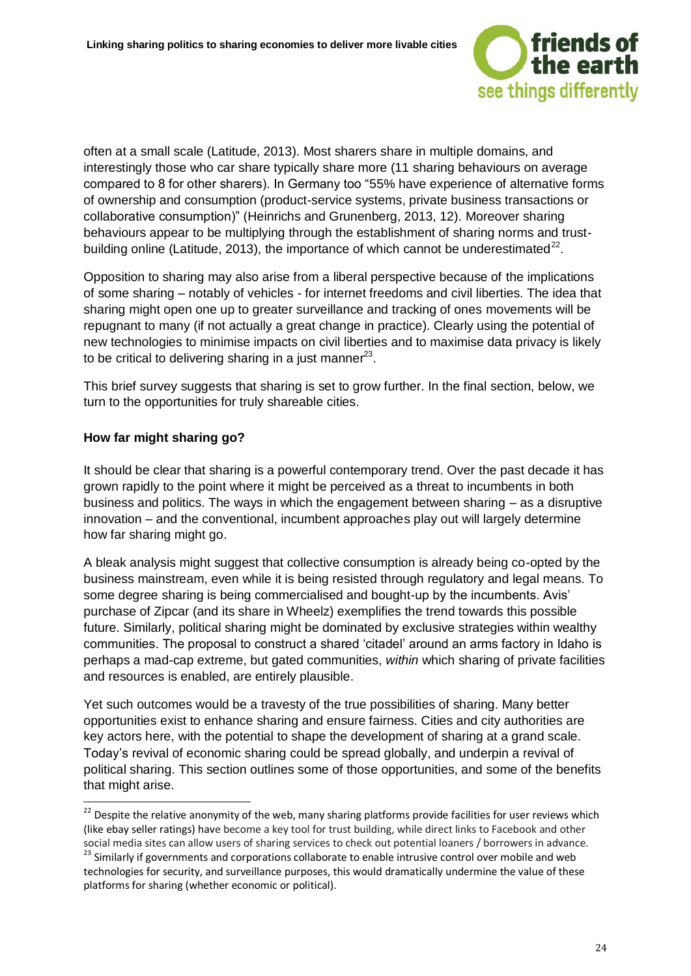

often at a small scale (Latitude, 2013). Most sharers share in multiple domains, and interestingly those who car share typically share more (11 sharing behaviours on average compared to 8 for other sharers). In Germany too "55% have experience of alternative forms of ownership and consumption (product-service systems, private business transactions or collaborative consumption)" (Heinrichs and Grunenberg, 2013, 12). Moreover sharing behaviours appear to be multiplying through the establishment of sharing norms and trustbuilding online (Latitude, 2013), the importance of which cannot be underestimated $^{22}$ .

Opposition to sharing may also arise from a liberal perspective because of the implications of some sharing – notably of vehicles - for internet freedoms and civil liberties. The idea that sharing might open one up to greater surveillance and tracking of ones movements will be repugnant to many (if not actually a great change in practice). Clearly using the potential of new technologies to minimise impacts on civil liberties and to maximise data privacy is likely to be critical to delivering sharing in a just manner $^{23}$ .

This brief survey suggests that sharing is set to grow further. In the final section, below, we turn to the opportunities for truly shareable cities.

#### **How far might sharing go?**

-

It should be clear that sharing is a powerful contemporary trend. Over the past decade it has grown rapidly to the point where it might be perceived as a threat to incumbents in both business and politics. The ways in which the engagement between sharing – as a disruptive innovation – and the conventional, incumbent approaches play out will largely determine how far sharing might go.

A bleak analysis might suggest that collective consumption is already being co-opted by the business mainstream, even while it is being resisted through regulatory and legal means. To some degree sharing is being commercialised and bought-up by the incumbents. Avis' purchase of Zipcar (and its share in Wheelz) exemplifies the trend towards this possible future. Similarly, political sharing might be dominated by exclusive strategies within wealthy communities. The proposal to construct a shared 'citadel' around an arms factory in Idaho is perhaps a mad-cap extreme, but gated communities, *within* which sharing of private facilities and resources is enabled, are entirely plausible.

Yet such outcomes would be a travesty of the true possibilities of sharing. Many better opportunities exist to enhance sharing and ensure fairness. Cities and city authorities are key actors here, with the potential to shape the development of sharing at a grand scale. Today's revival of economic sharing could be spread globally, and underpin a revival of political sharing. This section outlines some of those opportunities, and some of the benefits that might arise.

 $22$  Despite the relative anonymity of the web, many sharing platforms provide facilities for user reviews which (like ebay seller ratings) have become a key tool for trust building, while direct links to Facebook and other social media sites can allow users of sharing services to check out potential loaners / borrowers in advance.

<sup>&</sup>lt;sup>23</sup> Similarly if governments and corporations collaborate to enable intrusive control over mobile and web technologies for security, and surveillance purposes, this would dramatically undermine the value of these platforms for sharing (whether economic or political).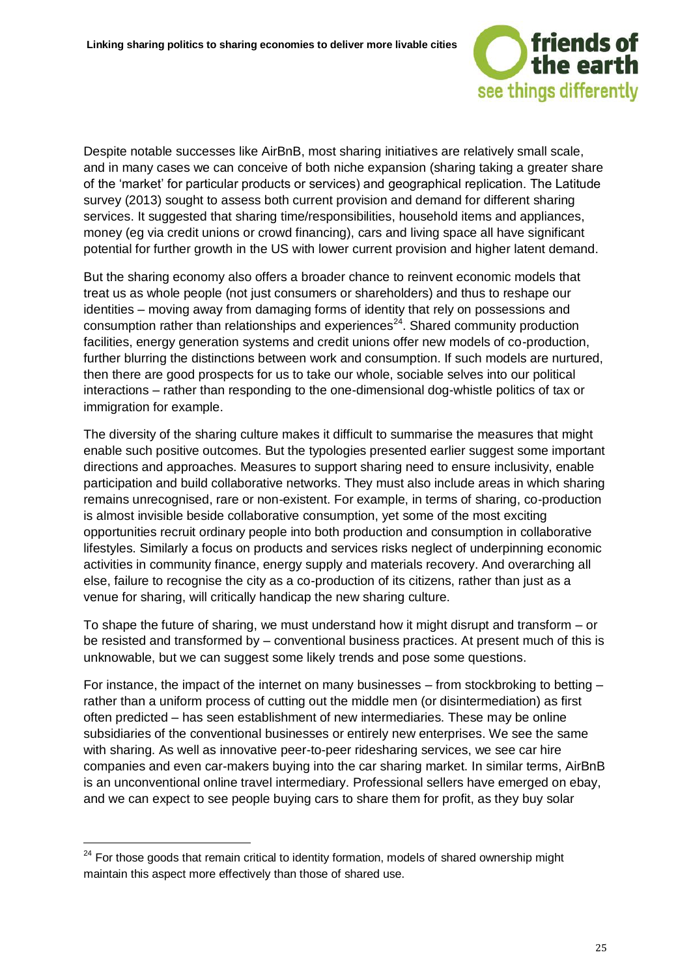

Despite notable successes like AirBnB, most sharing initiatives are relatively small scale, and in many cases we can conceive of both niche expansion (sharing taking a greater share of the 'market' for particular products or services) and geographical replication. The Latitude survey (2013) sought to assess both current provision and demand for different sharing services. It suggested that sharing time/responsibilities, household items and appliances, money (eg via credit unions or crowd financing), cars and living space all have significant potential for further growth in the US with lower current provision and higher latent demand.

But the sharing economy also offers a broader chance to reinvent economic models that treat us as whole people (not just consumers or shareholders) and thus to reshape our identities – moving away from damaging forms of identity that rely on possessions and consumption rather than relationships and experiences<sup>24</sup>. Shared community production facilities, energy generation systems and credit unions offer new models of co-production, further blurring the distinctions between work and consumption. If such models are nurtured, then there are good prospects for us to take our whole, sociable selves into our political interactions – rather than responding to the one-dimensional dog-whistle politics of tax or immigration for example.

The diversity of the sharing culture makes it difficult to summarise the measures that might enable such positive outcomes. But the typologies presented earlier suggest some important directions and approaches. Measures to support sharing need to ensure inclusivity, enable participation and build collaborative networks. They must also include areas in which sharing remains unrecognised, rare or non-existent. For example, in terms of sharing, co-production is almost invisible beside collaborative consumption, yet some of the most exciting opportunities recruit ordinary people into both production and consumption in collaborative lifestyles. Similarly a focus on products and services risks neglect of underpinning economic activities in community finance, energy supply and materials recovery. And overarching all else, failure to recognise the city as a co-production of its citizens, rather than just as a venue for sharing, will critically handicap the new sharing culture.

To shape the future of sharing, we must understand how it might disrupt and transform – or be resisted and transformed by – conventional business practices. At present much of this is unknowable, but we can suggest some likely trends and pose some questions.

For instance, the impact of the internet on many businesses – from stockbroking to betting – rather than a uniform process of cutting out the middle men (or disintermediation) as first often predicted – has seen establishment of new intermediaries. These may be online subsidiaries of the conventional businesses or entirely new enterprises. We see the same with sharing. As well as innovative peer-to-peer ridesharing services, we see car hire companies and even car-makers buying into the car sharing market. In similar terms, AirBnB is an unconventional online travel intermediary. Professional sellers have emerged on ebay, and we can expect to see people buying cars to share them for profit, as they buy solar

<sup>&</sup>lt;sup>24</sup> For those goods that remain critical to identity formation, models of shared ownership might maintain this aspect more effectively than those of shared use.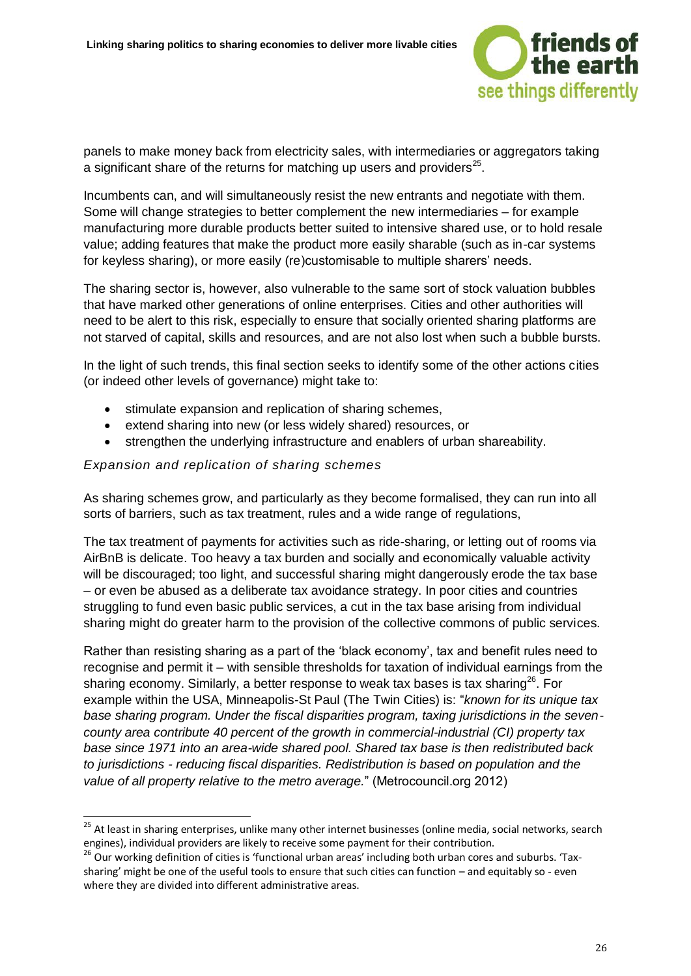

panels to make money back from electricity sales, with intermediaries or aggregators taking a significant share of the returns for matching up users and providers $^{25}$ .

Incumbents can, and will simultaneously resist the new entrants and negotiate with them. Some will change strategies to better complement the new intermediaries – for example manufacturing more durable products better suited to intensive shared use, or to hold resale value; adding features that make the product more easily sharable (such as in-car systems for keyless sharing), or more easily (re)customisable to multiple sharers' needs.

The sharing sector is, however, also vulnerable to the same sort of stock valuation bubbles that have marked other generations of online enterprises. Cities and other authorities will need to be alert to this risk, especially to ensure that socially oriented sharing platforms are not starved of capital, skills and resources, and are not also lost when such a bubble bursts.

In the light of such trends, this final section seeks to identify some of the other actions cities (or indeed other levels of governance) might take to:

- stimulate expansion and replication of sharing schemes,
- extend sharing into new (or less widely shared) resources, or
- strengthen the underlying infrastructure and enablers of urban shareability.

#### *Expansion and replication of sharing schemes*

-

As sharing schemes grow, and particularly as they become formalised, they can run into all sorts of barriers, such as tax treatment, rules and a wide range of regulations,

The tax treatment of payments for activities such as ride-sharing, or letting out of rooms via AirBnB is delicate. Too heavy a tax burden and socially and economically valuable activity will be discouraged; too light, and successful sharing might dangerously erode the tax base – or even be abused as a deliberate tax avoidance strategy. In poor cities and countries struggling to fund even basic public services, a cut in the tax base arising from individual sharing might do greater harm to the provision of the collective commons of public services.

Rather than resisting sharing as a part of the 'black economy', tax and benefit rules need to recognise and permit it – with sensible thresholds for taxation of individual earnings from the sharing economy. Similarly, a better response to weak tax bases is tax sharing<sup>26</sup>. For example within the USA, Minneapolis-St Paul (The Twin Cities) is: "*known for its unique tax base sharing program. Under the fiscal disparities program, taxing jurisdictions in the sevencounty area contribute 40 percent of the growth in commercial-industrial (CI) property tax base since 1971 into an area-wide shared pool. Shared tax base is then redistributed back to jurisdictions - reducing fiscal disparities. Redistribution is based on population and the value of all property relative to the metro average.*" (Metrocouncil.org 2012)

<sup>&</sup>lt;sup>25</sup> At least in sharing enterprises, unlike many other internet businesses (online media, social networks, search engines), individual providers are likely to receive some payment for their contribution.

<sup>&</sup>lt;sup>26</sup> Our working definition of cities is 'functional urban areas' including both urban cores and suburbs. 'Taxsharing' might be one of the useful tools to ensure that such cities can function – and equitably so - even where they are divided into different administrative areas.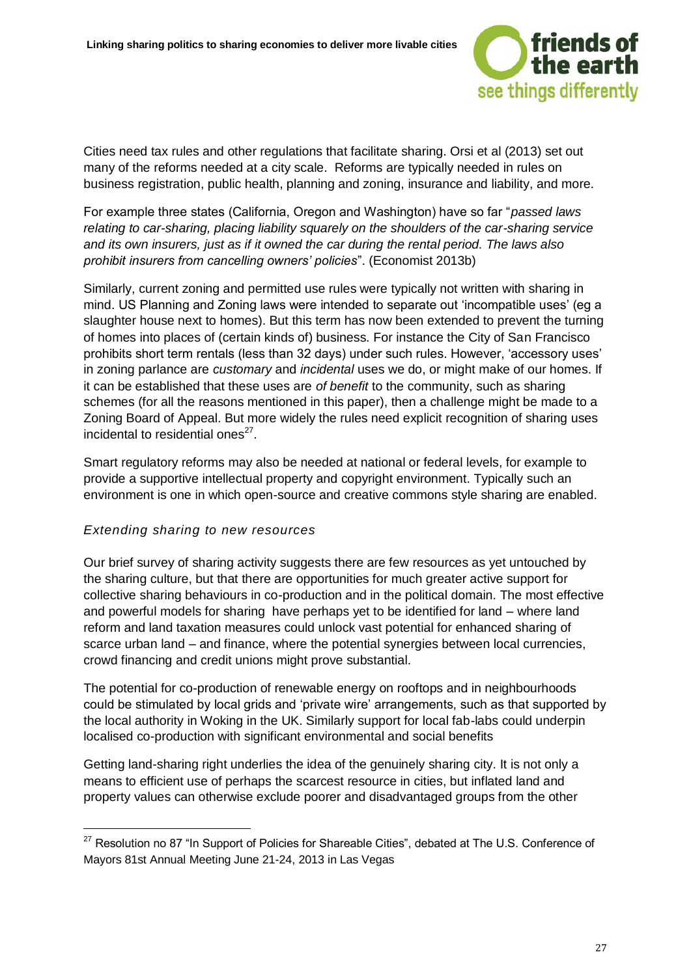

Cities need tax rules and other regulations that facilitate sharing. Orsi et al (2013) set out many of the reforms needed at a city scale. Reforms are typically needed in rules on business registration, public health, planning and zoning, insurance and liability, and more.

For example three states (California, Oregon and Washington) have so far "*passed laws relating to car-sharing, placing liability squarely on the shoulders of the car-sharing service and its own insurers, just as if it owned the car during the rental period. The laws also prohibit insurers from cancelling owners' policies*". (Economist 2013b)

Similarly, current zoning and permitted use rules were typically not written with sharing in mind. US Planning and Zoning laws were intended to separate out 'incompatible uses' (eg a slaughter house next to homes). But this term has now been extended to prevent the turning of homes into places of (certain kinds of) business. For instance the City of San Francisco prohibits short term rentals (less than 32 days) under such rules. However, 'accessory uses' in zoning parlance are *customary* and *incidental* uses we do, or might make of our homes. If it can be established that these uses are *of benefit* to the community, such as sharing schemes (for all the reasons mentioned in this paper), then a challenge might be made to a Zoning Board of Appeal. But more widely the rules need explicit recognition of sharing uses incidental to residential ones<sup>27</sup>.

Smart regulatory reforms may also be needed at national or federal levels, for example to provide a supportive intellectual property and copyright environment. Typically such an environment is one in which open-source and creative commons style sharing are enabled.

#### *Extending sharing to new resources*

-

Our brief survey of sharing activity suggests there are few resources as yet untouched by the sharing culture, but that there are opportunities for much greater active support for collective sharing behaviours in co-production and in the political domain. The most effective and powerful models for sharing have perhaps yet to be identified for land – where land reform and land taxation measures could unlock vast potential for enhanced sharing of scarce urban land – and finance, where the potential synergies between local currencies, crowd financing and credit unions might prove substantial.

The potential for co-production of renewable energy on rooftops and in neighbourhoods could be stimulated by local grids and 'private wire' arrangements, such as that supported by the local authority in Woking in the UK. Similarly support for local fab-labs could underpin localised co-production with significant environmental and social benefits

Getting land-sharing right underlies the idea of the genuinely sharing city. It is not only a means to efficient use of perhaps the scarcest resource in cities, but inflated land and property values can otherwise exclude poorer and disadvantaged groups from the other

<sup>&</sup>lt;sup>27</sup> Resolution no 87 "In Support of Policies for Shareable Cities", debated at The U.S. Conference of Mayors 81st Annual Meeting June 21-24, 2013 in Las Vegas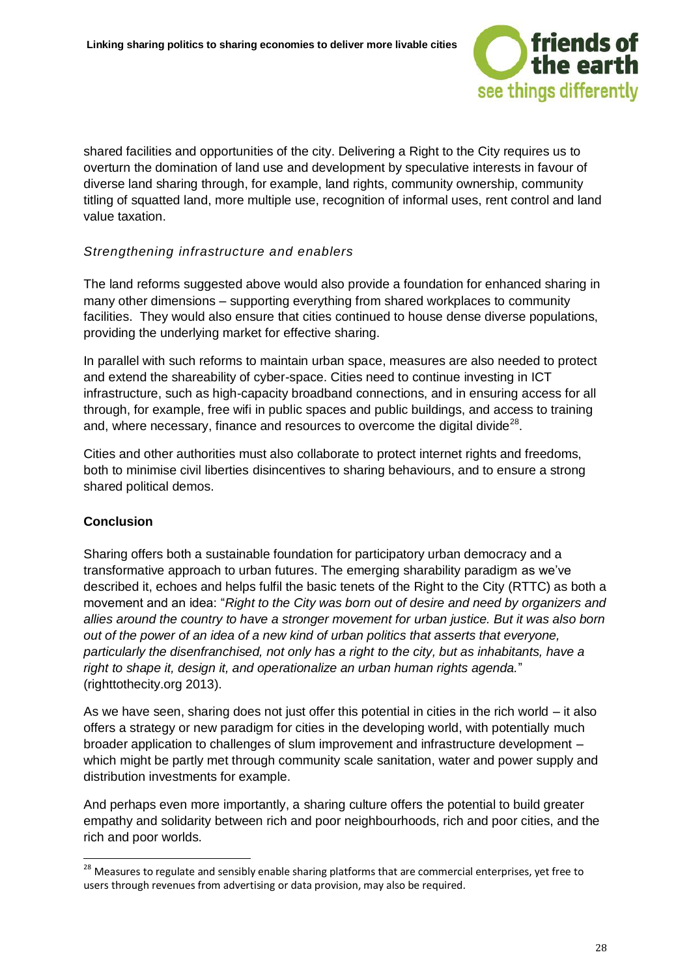

shared facilities and opportunities of the city. Delivering a Right to the City requires us to overturn the domination of land use and development by speculative interests in favour of diverse land sharing through, for example, land rights, community ownership, community titling of squatted land, more multiple use, recognition of informal uses, rent control and land value taxation.

#### *Strengthening infrastructure and enablers*

The land reforms suggested above would also provide a foundation for enhanced sharing in many other dimensions – supporting everything from shared workplaces to community facilities. They would also ensure that cities continued to house dense diverse populations, providing the underlying market for effective sharing.

In parallel with such reforms to maintain urban space, measures are also needed to protect and extend the shareability of cyber-space. Cities need to continue investing in ICT infrastructure, such as high-capacity broadband connections, and in ensuring access for all through, for example, free wifi in public spaces and public buildings, and access to training and, where necessary, finance and resources to overcome the digital divide<sup>28</sup>.

Cities and other authorities must also collaborate to protect internet rights and freedoms, both to minimise civil liberties disincentives to sharing behaviours, and to ensure a strong shared political demos.

#### **Conclusion**

-

Sharing offers both a sustainable foundation for participatory urban democracy and a transformative approach to urban futures. The emerging sharability paradigm as we've described it, echoes and helps fulfil the basic tenets of the Right to the City (RTTC) as both a movement and an idea: "*Right to the City was born out of desire and need by organizers and allies around the country to have a stronger movement for urban justice. But it was also born out of the power of an idea of a new kind of urban politics that asserts that everyone, particularly the disenfranchised, not only has a right to the city, but as inhabitants, have a right to shape it, design it, and operationalize an urban human rights agenda.*" (righttothecity.org 2013).

As we have seen, sharing does not just offer this potential in cities in the rich world – it also offers a strategy or new paradigm for cities in the developing world, with potentially much broader application to challenges of slum improvement and infrastructure development – which might be partly met through community scale sanitation, water and power supply and distribution investments for example.

And perhaps even more importantly, a sharing culture offers the potential to build greater empathy and solidarity between rich and poor neighbourhoods, rich and poor cities, and the rich and poor worlds.

<sup>&</sup>lt;sup>28</sup> Measures to regulate and sensibly enable sharing platforms that are commercial enterprises, yet free to users through revenues from advertising or data provision, may also be required.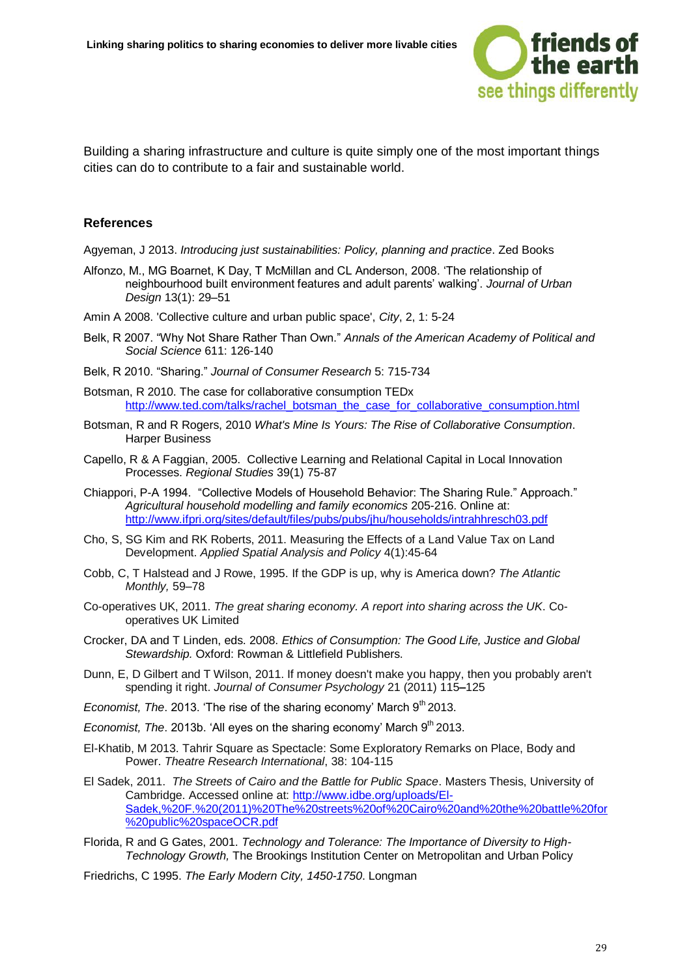

Building a sharing infrastructure and culture is quite simply one of the most important things cities can do to contribute to a fair and sustainable world.

#### **References**

Agyeman, J 2013. *Introducing just sustainabilities: Policy, planning and practice*. Zed Books

- Alfonzo, M., MG Boarnet, K Day, T McMillan and CL Anderson, 2008. 'The relationship of neighbourhood built environment features and adult parents' walking'. *Journal of Urban Design* 13(1): 29–51
- Amin A 2008. 'Collective culture and urban public space', *City*, 2, 1: 5-24
- Belk, R 2007. "Why Not Share Rather Than Own." *Annals of the American Academy of Political and Social Science* 611: 126-140
- Belk, R 2010. "Sharing." *Journal of Consumer Research* 5: 715-734
- Botsman, R 2010. The case for collaborative consumption TEDx [http://www.ted.com/talks/rachel\\_botsman\\_the\\_case\\_for\\_collaborative\\_consumption.html](http://www.ted.com/talks/rachel_botsman_the_case_for_collaborative_consumption.html)
- Botsman, R and R Rogers, 2010 *What's Mine Is Yours: The Rise of Collaborative Consumption*. Harper Business
- Capello, R & A Faggian, 2005. Collective Learning and Relational Capital in Local Innovation Processes. *Regional Studies* 39(1) 75-87
- Chiappori, P-A 1994. "Collective Models of Household Behavior: The Sharing Rule." Approach." *Agricultural household modelling and family economics* 205-216. Online at: <http://www.ifpri.org/sites/default/files/pubs/pubs/jhu/households/intrahhresch03.pdf>
- Cho, S, SG Kim and RK Roberts, 2011. Measuring the Effects of a Land Value Tax on Land Development. *Applied Spatial Analysis and Policy* 4(1):45-64
- Cobb, C, T Halstead and J Rowe, 1995. If the GDP is up, why is America down? *The Atlantic Monthly,* 59–78
- Co-operatives UK, 2011. *The great sharing economy. A report into sharing across the UK*. Cooperatives UK Limited
- Crocker, DA and T Linden, eds. 2008. *Ethics of Consumption: The Good Life, Justice and Global Stewardship.* Oxford: Rowman & Littlefield Publishers.
- Dunn, E, D Gilbert and T Wilson, 2011. If money doesn't make you happy, then you probably aren't spending it right. *Journal of Consumer Psychology* 21 (2011) 115**–**125
- *Economist, The.* 2013. 'The rise of the sharing economy' March 9<sup>th</sup> 2013.
- *Economist, The.* 2013b. 'All eyes on the sharing economy' March 9<sup>th</sup> 2013.
- El-Khatib, M 2013. Tahrir Square as Spectacle: Some Exploratory Remarks on Place, Body and Power. *Theatre Research International*, 38: 104-115
- El Sadek, 2011. *The Streets of Cairo and the Battle for Public Space*. Masters Thesis, University of Cambridge. Accessed online at: [http://www.idbe.org/uploads/El-](http://www.idbe.org/uploads/El-Sadek,%20F.%20(2011)%20The%20streets%20of%20Cairo%20and%20the%20battle%20for%20public%20spaceOCR.pdf)[Sadek,%20F.%20\(2011\)%20The%20streets%20of%20Cairo%20and%20the%20battle%20for](http://www.idbe.org/uploads/El-Sadek,%20F.%20(2011)%20The%20streets%20of%20Cairo%20and%20the%20battle%20for%20public%20spaceOCR.pdf) [%20public%20spaceOCR.pdf](http://www.idbe.org/uploads/El-Sadek,%20F.%20(2011)%20The%20streets%20of%20Cairo%20and%20the%20battle%20for%20public%20spaceOCR.pdf)
- Florida, R and G Gates, 2001. *Technology and Tolerance: The Importance of Diversity to High-Technology Growth,* The Brookings Institution Center on Metropolitan and Urban Policy
- Friedrichs, C 1995. *The Early Modern City, 1450-1750*. Longman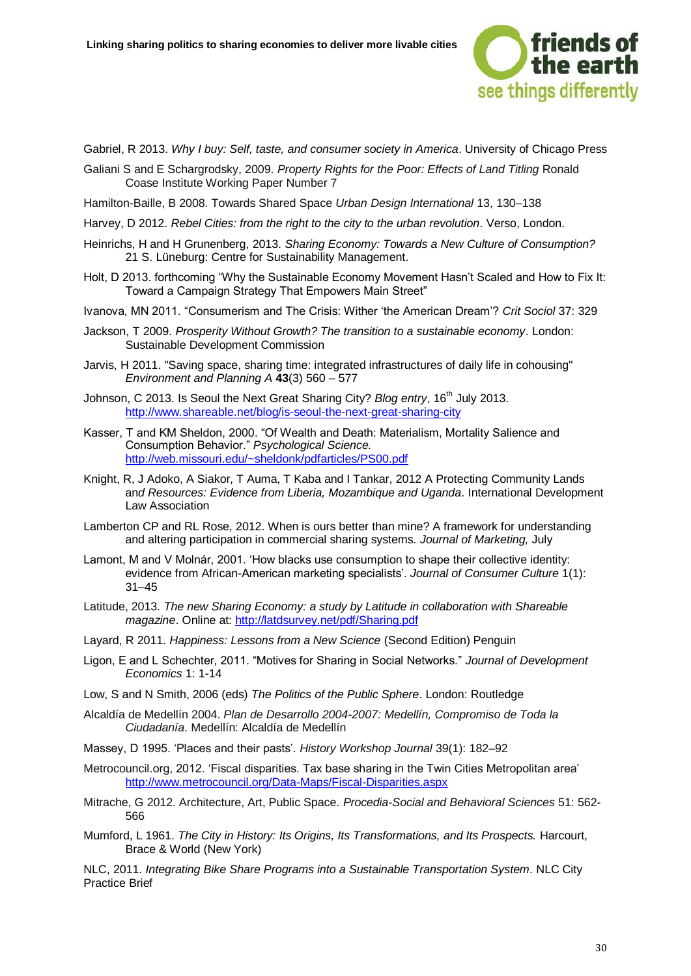

Gabriel, R 2013. *Why I buy: Self, taste, and consumer society in America*. University of Chicago Press

- Galiani S and E Schargrodsky, 2009. *Property Rights for the Poor: Effects of Land Titling* Ronald Coase Institute Working Paper Number 7
- Hamilton-Baille, B 2008. Towards Shared Space *Urban Design International* 13, 130–138
- Harvey, D 2012. *Rebel Cities: from the right to the city to the urban revolution*. Verso, London.
- Heinrichs, H and H Grunenberg, 2013. *Sharing Economy: Towards a New Culture of Consumption?* 21 S. Lüneburg: Centre for Sustainability Management.
- Holt, D 2013. forthcoming "Why the Sustainable Economy Movement Hasn't Scaled and How to Fix It: Toward a Campaign Strategy That Empowers Main Street"
- Ivanova, MN 2011. "Consumerism and The Crisis: Wither 'the American Dream'? *Crit Sociol* 37: 329
- Jackson, T 2009. *Prosperity Without Growth? The transition to a sustainable economy*. London: Sustainable Development Commission
- Jarvis, H 2011. "Saving space, sharing time: integrated infrastructures of daily life in cohousing" *Environment and Planning A* **43**(3) 560 – 577
- Johnson, C 2013. Is Seoul the Next Great Sharing City? *Blog entry*, 16<sup>th</sup> July 2013. <http://www.shareable.net/blog/is-seoul-the-next-great-sharing-city>
- Kasser, T and KM Sheldon, 2000. "Of Wealth and Death: Materialism, Mortality Salience and Consumption Behavior." *Psychological Science.*  <http://web.missouri.edu/~sheldonk/pdfarticles/PS00.pdf>
- Knight, R, J Adoko, A Siakor, T Auma, T Kaba and I Tankar, 2012 A Protecting Community Lands an*d Resources: Evidence from Liberia, Mozambique and Uganda*. International Development Law Association
- Lamberton CP and RL Rose, 2012. When is ours better than mine? A framework for understanding and altering participation in commercial sharing systems. *Journal of Marketing,* July
- Lamont, M and V Molnár, 2001. 'How blacks use consumption to shape their collective identity: evidence from African-American marketing specialists'. *Journal of Consumer Culture* 1(1): 31–45
- Latitude, 2013. *The new Sharing Economy: a study by Latitude in collaboration with Shareable magazine*. Online at:<http://latdsurvey.net/pdf/Sharing.pdf>
- Layard, R 2011. *Happiness: Lessons from a New Science* (Second Edition) Penguin
- Ligon, E and L Schechter, 2011. "Motives for Sharing in Social Networks." *Journal of Development Economics* 1: 1-14
- Low, S and N Smith, 2006 (eds) *The Politics of the Public Sphere*. London: Routledge
- Alcaldía de Medellín 2004. *Plan de Desarrollo 2004-2007: Medellín, Compromiso de Toda la Ciudadanía*. Medellín: Alcaldía de Medellín
- Massey, D 1995. 'Places and their pasts'. *History Workshop Journal* 39(1): 182–92
- Metrocouncil.org, 2012. 'Fiscal disparities. Tax base sharing in the Twin Cities Metropolitan area' <http://www.metrocouncil.org/Data-Maps/Fiscal-Disparities.aspx>
- Mitrache, G 2012. Architecture, Art, Public Space. *Procedia-Social and Behavioral Sciences* 51: 562- 566
- Mumford, L 1961. *The City in History: Its Origins, Its Transformations, and Its Prospects.* Harcourt, Brace & World (New York)

NLC, 2011. *Integrating Bike Share Programs into a Sustainable Transportation System*. NLC City Practice Brief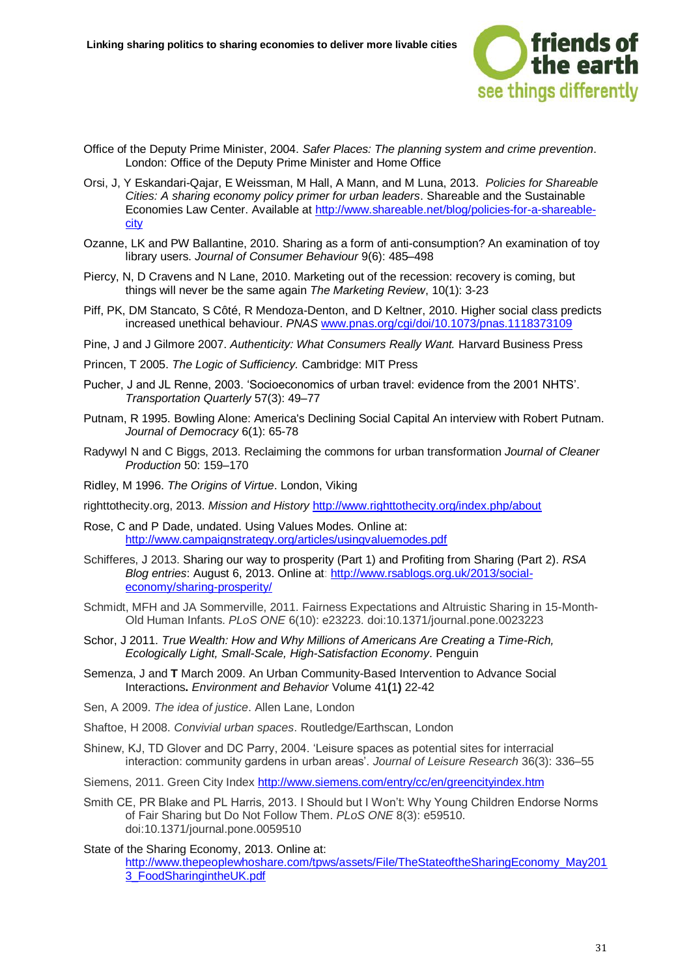

- Office of the Deputy Prime Minister, 2004. *Safer Places: The planning system and crime prevention*. London: Office of the Deputy Prime Minister and Home Office
- Orsi, J, Y Eskandari-Qajar, E Weissman, M Hall, A Mann, and M Luna, 2013. *Policies for Shareable Cities: A sharing economy policy primer for urban leaders*. Shareable and the Sustainable Economies Law Center. Available at [http://www.shareable.net/blog/policies-for-a-shareable](http://www.shareable.net/blog/policies-for-a-shareable-city)[city](http://www.shareable.net/blog/policies-for-a-shareable-city)
- Ozanne, LK and PW Ballantine, 2010. Sharing as a form of anti-consumption? An examination of toy library users. *Journal of Consumer Behaviour* 9(6): 485–498
- Piercy, N, D Cravens and N Lane, 2010. Marketing out of the recession: recovery is coming, but things will never be the same again *The Marketing Review*, 10(1): 3-23
- Piff, PK, DM Stancato, S Côté, R Mendoza-Denton, and D Keltner, 2010. Higher social class predicts increased unethical behaviour. *PNAS* [www.pnas.org/cgi/doi/10.1073/pnas.1118373109](http://www.pnas.org/cgi/doi/10.1073/pnas.1118373109)
- Pine, J and J Gilmore 2007. *Authenticity: What Consumers Really Want.* Harvard Business Press
- Princen, T 2005. *The Logic of Sufficiency.* Cambridge: MIT Press
- Pucher, J and JL Renne, 2003. 'Socioeconomics of urban travel: evidence from the 2001 NHTS'. *Transportation Quarterly* 57(3): 49–77
- Putnam, R 1995. Bowling Alone: America's Declining Social Capital An interview with Robert Putnam. *Journal of Democracy* 6(1): 65-78
- Radywyl N and C Biggs, 2013. Reclaiming the commons for urban transformation *Journal of Cleaner Production* 50: 159–170
- Ridley, M 1996. *The Origins of Virtue*. London, Viking
- righttothecity.org, 2013. *Mission and History* <http://www.righttothecity.org/index.php/about>
- Rose, C and P Dade, undated. Using Values Modes. Online at: <http://www.campaignstrategy.org/articles/usingvaluemodes.pdf>
- Schifferes, J 2013. Sharing our way to prosperity (Part 1) and Profiting from Sharing (Part 2). *RSA Blog entries*: August 6, 2013. Online at: [http://www.rsablogs.org.uk/2013/social](http://www.rsablogs.org.uk/2013/social-economy/sharing-prosperity/)[economy/sharing-prosperity/](http://www.rsablogs.org.uk/2013/social-economy/sharing-prosperity/)
- Schmidt, MFH and JA Sommerville, 2011. Fairness Expectations and Altruistic Sharing in 15-Month-Old Human Infants. *PLoS ONE* 6(10): e23223. doi:10.1371/journal.pone.0023223
- Schor, J 2011. *True Wealth: How and Why Millions of Americans Are Creating a Time-Rich, Ecologically Light, Small-Scale, High-Satisfaction Economy*. Penguin
- Semenza, J and **T** March 2009. An Urban Community-Based Intervention to Advance Social Interactions**.** *Environment and Behavior* Volume 41**(**1**)** 22-42
- Sen, A 2009. *The idea of justice*. Allen Lane, London
- Shaftoe, H 2008. *Convivial urban spaces*. Routledge/Earthscan, London
- Shinew, KJ, TD Glover and DC Parry, 2004. 'Leisure spaces as potential sites for interracial interaction: community gardens in urban areas'. *Journal of Leisure Research* 36(3): 336–55
- Siemens, 2011. Green City Index<http://www.siemens.com/entry/cc/en/greencityindex.htm>
- Smith CE, PR Blake and PL Harris, 2013. I Should but I Won't: Why Young Children Endorse Norms of Fair Sharing but Do Not Follow Them. *PLoS ONE* 8(3): e59510. doi:10.1371/journal.pone.0059510
- State of the Sharing Economy, 2013. Online at: [http://www.thepeoplewhoshare.com/tpws/assets/File/TheStateoftheSharingEconomy\\_May201](http://www.thepeoplewhoshare.com/tpws/assets/File/TheStateoftheSharingEconomy_May2013_FoodSharingintheUK.pdf) [3\\_FoodSharingintheUK.pdf](http://www.thepeoplewhoshare.com/tpws/assets/File/TheStateoftheSharingEconomy_May2013_FoodSharingintheUK.pdf)